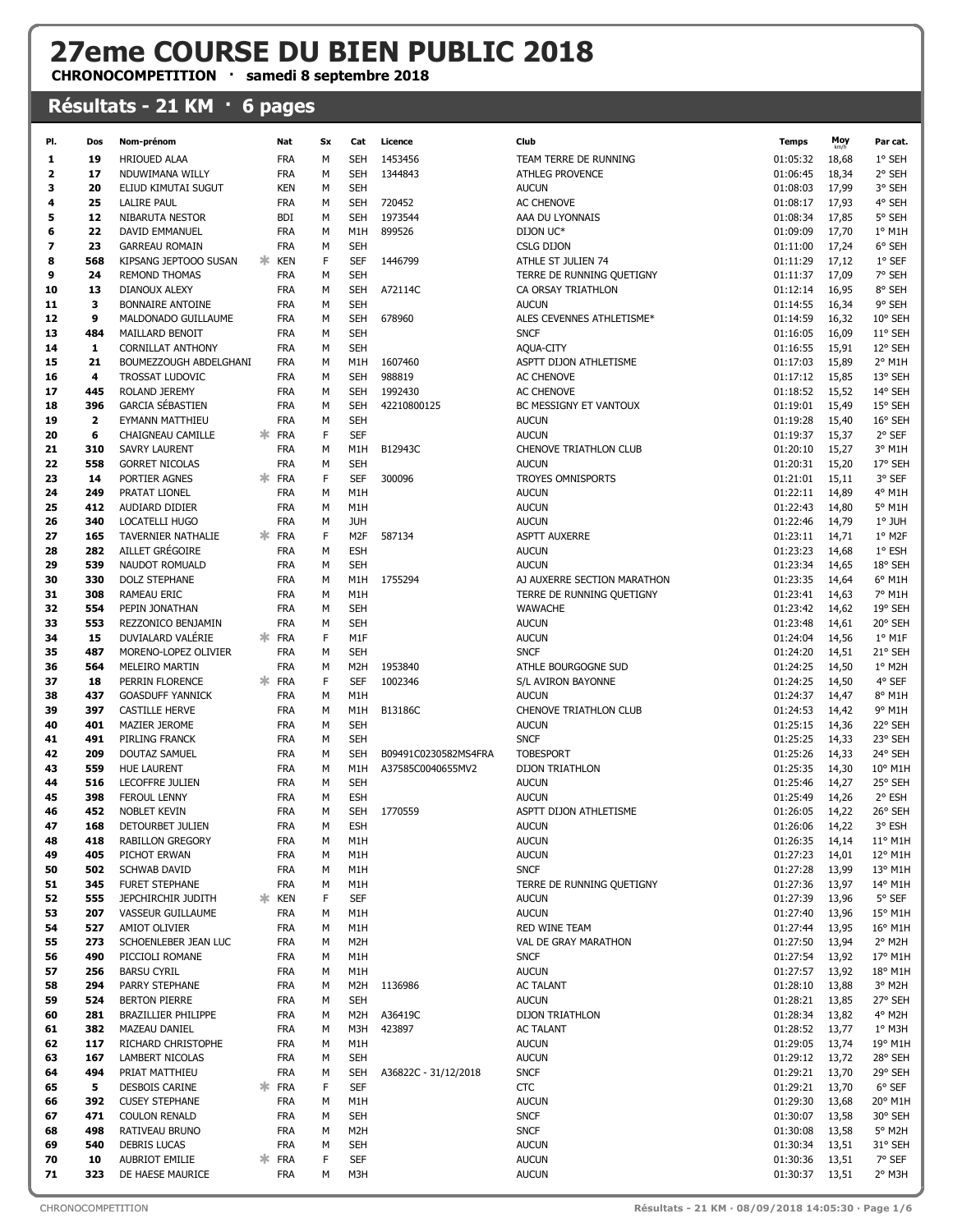## 27eme COURSE DU BIEN PUBLIC 2018

CHRONOCOMPETITION · samedi 8 septembre 2018

## Résultats - 21 KM · 6 pages

| PI.                     | Dos          | Nom-prénom                                  |    | Nat                      | Sx          | Cat                      | Licence              | Club                                | <b>Temps</b>         | Moy            | Par cat.           |
|-------------------------|--------------|---------------------------------------------|----|--------------------------|-------------|--------------------------|----------------------|-------------------------------------|----------------------|----------------|--------------------|
| 1                       | 19           | HRIOUED ALAA                                |    | <b>FRA</b>               | м           | <b>SEH</b>               | 1453456              | TEAM TERRE DE RUNNING               | 01:05:32             | 18,68          | 1° SEH             |
| $\overline{\mathbf{2}}$ | 17           | NDUWIMANA WILLY                             |    | <b>FRA</b>               | M           | SEH                      | 1344843              | <b>ATHLEG PROVENCE</b>              | 01:06:45             | 18,34          | 2° SEH             |
| з                       | 20           | ELIUD KIMUTAI SUGUT                         |    | <b>KEN</b>               | M           | SEH                      |                      | <b>AUCUN</b>                        | 01:08:03             | 17,99          | 3° SEH             |
| 4                       | 25           | <b>LALIRE PAUL</b>                          |    | <b>FRA</b>               | M           | SEH                      | 720452               | AC CHENOVE                          | 01:08:17             | 17,93          | 4° SEH             |
| 5                       | 12           | NIBARUTA NESTOR                             |    | <b>BDI</b>               | M           | <b>SEH</b>               | 1973544              | AAA DU LYONNAIS                     | 01:08:34             | 17,85          | 5° SEH             |
| 6                       | 22           | DAVID EMMANUEL                              |    | <b>FRA</b>               | M           | M <sub>1</sub> H         | 899526               | DIJON UC*                           | 01:09:09             | 17,70          | 1° M1H             |
| 7                       | 23           | <b>GARREAU ROMAIN</b>                       |    | <b>FRA</b>               | M           | SEH                      |                      | CSLG DIJON                          | 01:11:00             | 17,24          | 6° SEH             |
| 8                       | 568          | KIPSANG JEPTOOO SUSAN                       | ж  | <b>KEN</b>               | F           | <b>SEF</b>               | 1446799              | ATHLE ST JULIEN 74                  | 01:11:29             | 17,12          | 1° SEF             |
| 9                       | 24           | <b>REMOND THOMAS</b>                        |    | <b>FRA</b>               | M           | SEH                      |                      | TERRE DE RUNNING QUETIGNY           | 01:11:37             | 17,09          | 7° SEH             |
| 10                      | 13           | <b>DIANOUX ALEXY</b>                        |    | <b>FRA</b>               | M           | SEH                      | A72114C              | CA ORSAY TRIATHLON                  | 01:12:14             | 16,95          | 8° SEH             |
| 11                      | 3            | <b>BONNAIRE ANTOINE</b>                     |    | <b>FRA</b>               | M           | SEH                      |                      | <b>AUCUN</b>                        | 01:14:55             | 16,34          | 9° SEH             |
| 12                      | 9            | MALDONADO GUILLAUME                         |    | <b>FRA</b>               | M           | SEH                      | 678960               | ALES CEVENNES ATHLETISME*           | 01:14:59             | 16,32          | 10° SEH            |
| 13                      | 484<br>1     | MAILLARD BENOIT<br><b>CORNILLAT ANTHONY</b> |    | <b>FRA</b>               | M<br>M      | SEH<br><b>SEH</b>        |                      | <b>SNCF</b>                         | 01:16:05             | 16,09          | 11° SEH<br>12° SEH |
| 14<br>15                | 21           | BOUMEZZOUGH ABDELGHANI                      |    | <b>FRA</b><br><b>FRA</b> | M           | M <sub>1</sub> H         | 1607460              | AQUA-CITY<br>ASPTT DIJON ATHLETISME | 01:16:55<br>01:17:03 | 15,91<br>15,89 | 2° M1H             |
| 16                      | 4            | <b>TROSSAT LUDOVIC</b>                      |    | <b>FRA</b>               | M           | SEH                      | 988819               | AC CHENOVE                          | 01:17:12             | 15,85          | 13° SEH            |
| 17                      | 445          | ROLAND JEREMY                               |    | <b>FRA</b>               | M           | SEH                      | 1992430              | AC CHENOVE                          | 01:18:52             | 15,52          | 14° SEH            |
| 18                      | 396          | <b>GARCIA SÉBASTIEN</b>                     |    | <b>FRA</b>               | M           | SEH                      | 42210800125          | BC MESSIGNY ET VANTOUX              | 01:19:01             | 15,49          | 15° SEH            |
| 19                      | $\mathbf{2}$ | EYMANN MATTHIEU                             |    | <b>FRA</b>               | М           | <b>SEH</b>               |                      | <b>AUCUN</b>                        | 01:19:28             | 15,40          | 16° SEH            |
| 20                      | 6            | <b>CHAIGNEAU CAMILLE</b>                    | ж. | <b>FRA</b>               | F           | <b>SEF</b>               |                      | <b>AUCUN</b>                        | 01:19:37             | 15,37          | 2° SEF             |
| 21                      | 310          | <b>SAVRY LAURENT</b>                        |    | <b>FRA</b>               | M           | M1H                      | B12943C              | CHENOVE TRIATHLON CLUB              | 01:20:10             | 15,27          | 3° M1H             |
| 22                      | 558          | <b>GORRET NICOLAS</b>                       |    | <b>FRA</b>               | M           | <b>SEH</b>               |                      | <b>AUCUN</b>                        | 01:20:31             | 15,20          | 17° SEH            |
| 23                      | 14           | PORTIER AGNES                               | ж. | <b>FRA</b>               | F           | <b>SEF</b>               | 300096               | TROYES OMNISPORTS                   | 01:21:01             | 15,11          | 3° SEF             |
| 24                      | 249          | PRATAT LIONEL                               |    | <b>FRA</b>               | М           | M1H                      |                      | <b>AUCUN</b>                        | 01:22:11             | 14,89          | 4° M1H             |
| 25                      | 412          | AUDIARD DIDIER                              |    | <b>FRA</b>               | M           | M1H                      |                      | <b>AUCUN</b>                        | 01:22:43             | 14,80          | 5° M1H             |
| 26                      | 340          | LOCATELLI HUGO                              |    | <b>FRA</b>               | M           | <b>JUH</b>               |                      | <b>AUCUN</b>                        | 01:22:46             | 14,79          | 1° JUH             |
| 27                      | 165          | TAVERNIER NATHALIE                          | ж. | <b>FRA</b>               | F           | M <sub>2F</sub>          | 587134               | <b>ASPTT AUXERRE</b>                | 01:23:11             | 14,71          | 1° M2F             |
| 28                      | 282          | AILLET GRÉGOIRE                             |    | <b>FRA</b>               | M           | <b>ESH</b>               |                      | <b>AUCUN</b>                        | 01:23:23             | 14,68          | 1° ESH             |
| 29                      | 539          | NAUDOT ROMUALD                              |    | <b>FRA</b>               | M           | SEH                      |                      | <b>AUCUN</b>                        | 01:23:34             | 14,65          | 18° SEH            |
| 30                      | 330          | <b>DOLZ STEPHANE</b>                        |    | <b>FRA</b>               | M           | M1H                      | 1755294              | AJ AUXERRE SECTION MARATHON         | 01:23:35             | 14,64          | 6° M1H             |
| 31                      | 308          | <b>RAMEAU ERIC</b>                          |    | <b>FRA</b>               | M           | M1H                      |                      | TERRE DE RUNNING QUETIGNY           | 01:23:41<br>01:23:42 | 14,63          | 7° M1H<br>19° SEH  |
| 32<br>33                | 554<br>553   | PEPIN JONATHAN<br>REZZONICO BENJAMIN        |    | <b>FRA</b><br><b>FRA</b> | M<br>M      | <b>SEH</b><br><b>SEH</b> |                      | <b>WAWACHE</b><br><b>AUCUN</b>      | 01:23:48             | 14,62<br>14,61 | 20° SEH            |
| 34                      | 15           | DUVIALARD VALERIE                           | ж. | <b>FRA</b>               | $\mathsf F$ | M1F                      |                      | <b>AUCUN</b>                        | 01:24:04             | 14,56          | $1°$ M1F           |
| 35                      | 487          | MORENO-LOPEZ OLIVIER                        |    | <b>FRA</b>               | M           | SEH                      |                      | <b>SNCF</b>                         | 01:24:20             | 14,51          | 21° SEH            |
| 36                      | 564          | MELEIRO MARTIN                              |    | <b>FRA</b>               | M           | M2H                      | 1953840              | ATHLE BOURGOGNE SUD                 | 01:24:25             | 14,50          | 1° M2H             |
| 37                      | 18           | PERRIN FLORENCE                             | ж. | <b>FRA</b>               | F           | <b>SEF</b>               | 1002346              | S/L AVIRON BAYONNE                  | 01:24:25             | 14,50          | 4° SEF             |
| 38                      | 437          | <b>GOASDUFF YANNICK</b>                     |    | <b>FRA</b>               | M           | M1H                      |                      | <b>AUCUN</b>                        | 01:24:37             | 14,47          | 8° M1H             |
| 39                      | 397          | <b>CASTILLE HERVE</b>                       |    | <b>FRA</b>               | M           | M1H                      | B13186C              | CHENOVE TRIATHLON CLUB              | 01:24:53             | 14,42          | 9° M1H             |
| 40                      | 401          | MAZIER JEROME                               |    | <b>FRA</b>               | M           | <b>SEH</b>               |                      | <b>AUCUN</b>                        | 01:25:15             | 14,36          | 22° SEH            |
| 41                      | 491          | PIRLING FRANCK                              |    | <b>FRA</b>               | M           | SEH                      |                      | <b>SNCF</b>                         | 01:25:25             | 14,33          | 23° SEH            |
| 42                      | 209          | DOUTAZ SAMUEL                               |    | <b>FRA</b>               | M           | <b>SEH</b>               | B09491C0230582MS4FRA | <b>TOBESPORT</b>                    | 01:25:26             | 14,33          | 24° SEH            |
| 43                      | 559          | <b>HUE LAURENT</b>                          |    | <b>FRA</b>               | M           | M1H                      | A37585C0040655MV2    | <b>DIJON TRIATHLON</b>              | 01:25:35             | 14,30          | 10° M1H            |
| 44                      | 516          | LECOFFRE JULIEN                             |    | <b>FRA</b>               | M           | SEH                      |                      | <b>AUCUN</b>                        | 01:25:46             | 14,27          | 25° SEH            |
| 45                      | 398          | <b>FEROUL LENNY</b>                         |    | <b>FRA</b>               | M           | <b>ESH</b>               |                      | <b>AUCUN</b>                        | 01:25:49             | 14,26          | 2° ESH             |
| 46                      | 452          | NOBLET KEVIN                                |    | <b>FRA</b>               | М           | SEH                      | 1770559              | ASPTT DIJON ATHLETISME              | 01:26:05             | 14,22          | 26° SEH            |
| 47                      | 168          | DETOURBET JULIEN                            |    | <b>FRA</b>               | M           | <b>ESH</b>               |                      | <b>AUCUN</b>                        | 01:26:06             | 14,22          | 3° ESH             |
| 48<br>49                | 418<br>405   | <b>RABILLON GREGORY</b><br>PICHOT ERWAN     |    | <b>FRA</b><br><b>FRA</b> | М<br>M      | M1H<br>M1H               |                      | <b>AUCUN</b><br><b>AUCUN</b>        | 01:26:35<br>01:27:23 | 14,14<br>14,01 | 11° M1H<br>12° M1H |
| 50                      | 502          | <b>SCHWAB DAVID</b>                         |    | <b>FRA</b>               | М           | M1H                      |                      | <b>SNCF</b>                         | 01:27:28             | 13,99          | 13° M1H            |
| 51                      | 345          | <b>FURET STEPHANE</b>                       |    | <b>FRA</b>               | M           | M1H                      |                      | TERRE DE RUNNING QUETIGNY           | 01:27:36             | 13,97          | 14° M1H            |
| 52                      | 555          | JEPCHIRCHIR JUDITH                          | ж. | <b>KEN</b>               | F           | <b>SEF</b>               |                      | <b>AUCUN</b>                        | 01:27:39             | 13,96          | 5° SEF             |
| 53                      | 207          | VASSEUR GUILLAUME                           |    | <b>FRA</b>               | М           | M1H                      |                      | <b>AUCUN</b>                        | 01:27:40             | 13,96          | 15° M1H            |
| 54                      | 527          | AMIOT OLIVIER                               |    | <b>FRA</b>               | M           | M1H                      |                      | RED WINE TEAM                       | 01:27:44             | 13,95          | 16° M1H            |
| 55                      | 273          | SCHOENLEBER JEAN LUC                        |    | <b>FRA</b>               | M           | M <sub>2</sub> H         |                      | VAL DE GRAY MARATHON                | 01:27:50             | 13,94          | 2° M2H             |
| 56                      | 490          | PICCIOLI ROMANE                             |    | <b>FRA</b>               | M           | M1H                      |                      | <b>SNCF</b>                         | 01:27:54             | 13,92          | 17° M1H            |
| 57                      | 256          | <b>BARSU CYRIL</b>                          |    | <b>FRA</b>               | М           | M1H                      |                      | <b>AUCUN</b>                        | 01:27:57             | 13,92          | 18° M1H            |
| 58                      | 294          | PARRY STEPHANE                              |    | <b>FRA</b>               | М           | M2H                      | 1136986              | <b>AC TALANT</b>                    | 01:28:10             | 13,88          | 3° M2H             |
| 59                      | 524          | <b>BERTON PIERRE</b>                        |    | <b>FRA</b>               | M           | <b>SEH</b>               |                      | <b>AUCUN</b>                        | 01:28:21             | 13,85          | 27° SEH            |
| 60                      | 281          | BRAZILLIER PHILIPPE                         |    | <b>FRA</b>               | M           | M <sub>2</sub> H         | A36419C              | DIJON TRIATHLON                     | 01:28:34             | 13,82          | 4° M2H             |
| 61                      | 382          | <b>MAZEAU DANIEL</b>                        |    | <b>FRA</b>               | М           | M3H                      | 423897               | <b>AC TALANT</b>                    | 01:28:52             | 13,77          | 1° M3H             |
| 62                      | 117          | RICHARD CHRISTOPHE                          |    | <b>FRA</b>               | M           | M1H                      |                      | <b>AUCUN</b>                        | 01:29:05             | 13,74          | 19° M1H            |
| 63                      | 167<br>494   | <b>LAMBERT NICOLAS</b>                      |    | <b>FRA</b>               | М<br>M      | <b>SEH</b>               |                      | <b>AUCUN</b><br><b>SNCF</b>         | 01:29:12<br>01:29:21 | 13,72<br>13,70 | 28° SEH<br>29° SEH |
| 64<br>65                | 5            | PRIAT MATTHIEU<br>DESBOIS CARINE            | ж. | <b>FRA</b><br><b>FRA</b> | F           | <b>SEH</b><br><b>SEF</b> | A36822C - 31/12/2018 | CTC                                 | 01:29:21             | 13,70          | 6° SEF             |
| 66                      | 392          | <b>CUSEY STEPHANE</b>                       |    | <b>FRA</b>               | М           | M1H                      |                      | <b>AUCUN</b>                        | 01:29:30             | 13,68          | 20° M1H            |
| 67                      | 471          | <b>COULON RENALD</b>                        |    | <b>FRA</b>               | М           | <b>SEH</b>               |                      | <b>SNCF</b>                         | 01:30:07             | 13,58          | 30° SEH            |
| 68                      | 498          | RATIVEAU BRUNO                              |    | <b>FRA</b>               | М           | M <sub>2</sub> H         |                      | <b>SNCF</b>                         | 01:30:08             | 13,58          | 5° M2H             |
| 69                      | 540          | <b>DEBRIS LUCAS</b>                         |    | <b>FRA</b>               | M           | <b>SEH</b>               |                      | <b>AUCUN</b>                        | 01:30:34             | 13,51          | 31° SEH            |
| 70                      | 10           | AUBRIOT EMILIE                              |    | * FRA                    | F           | <b>SEF</b>               |                      | <b>AUCUN</b>                        | 01:30:36             | 13,51          | 7° SEF             |
| 71                      | 323          | DE HAESE MAURICE                            |    | <b>FRA</b>               | М           | M3H                      |                      | <b>AUCUN</b>                        | 01:30:37             | 13,51          | 2° M3H             |
|                         |              |                                             |    |                          |             |                          |                      |                                     |                      |                |                    |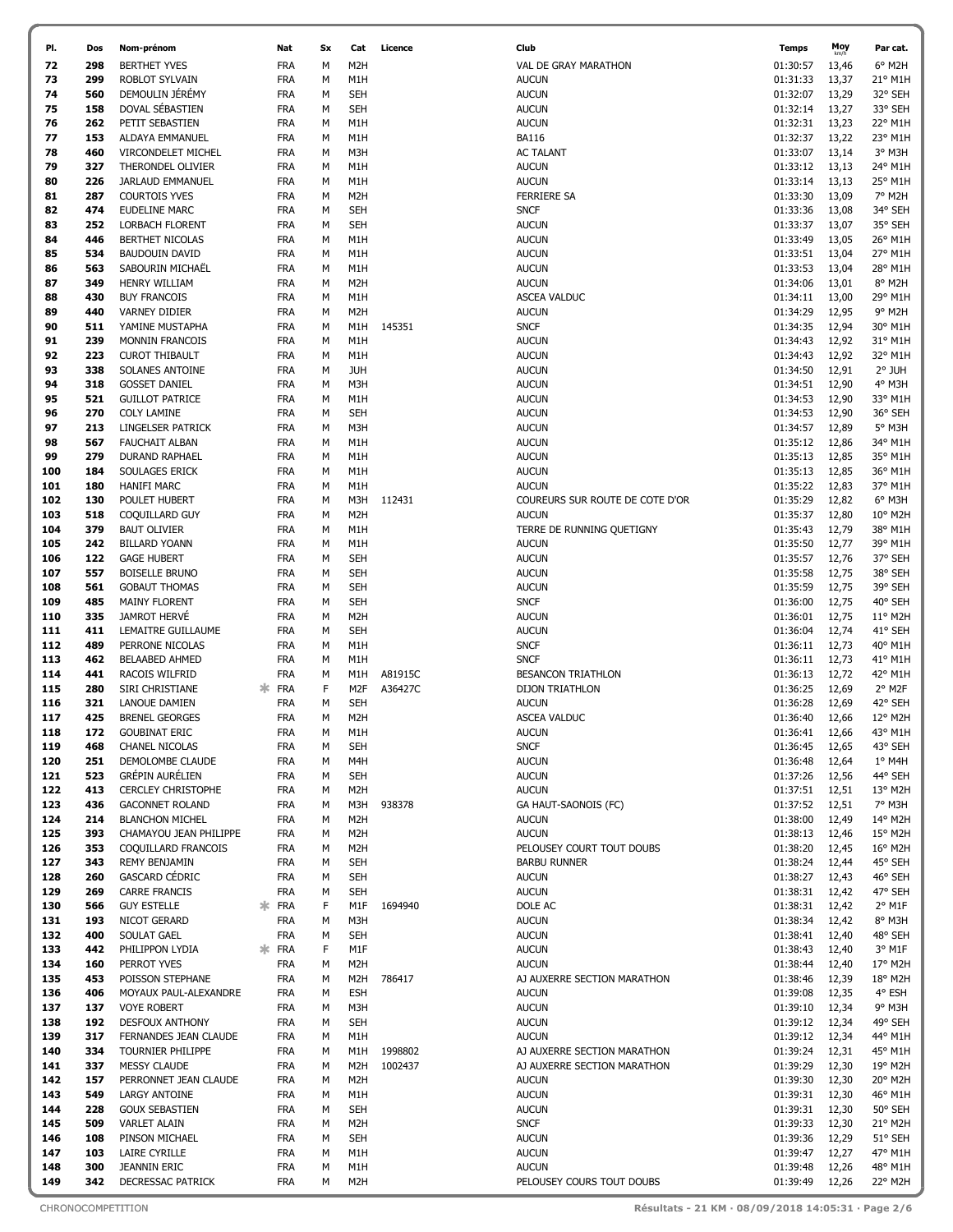| PI.        | Dos        | Nom-prénom                                    | Nat                      | Sx     | Cat                      | Licence | Club                                      | <b>Temps</b>         | Moy            | Par cat.           |
|------------|------------|-----------------------------------------------|--------------------------|--------|--------------------------|---------|-------------------------------------------|----------------------|----------------|--------------------|
| 72         | 298        | <b>BERTHET YVES</b>                           | <b>FRA</b>               | м      | M <sub>2</sub> H         |         | VAL DE GRAY MARATHON                      | 01:30:57             | 13,46          | 6° M2H             |
| 73         | 299        | ROBLOT SYLVAIN                                | <b>FRA</b>               | М      | M1H                      |         | <b>AUCUN</b>                              | 01:31:33             | 13,37          | 21° M1H            |
| 74         | 560        | DEMOULIN JÉRÉMY                               | <b>FRA</b>               | М      | <b>SEH</b>               |         | <b>AUCUN</b>                              | 01:32:07             | 13,29          | 32° SEH            |
| 75         | 158        | DOVAL SÉBASTIEN                               | <b>FRA</b>               | М      | SEH                      |         | <b>AUCUN</b>                              | 01:32:14             | 13,27          | 33° SEH            |
| 76         | 262        | PETIT SEBASTIEN                               | <b>FRA</b>               | М      | M1H                      |         | <b>AUCUN</b>                              | 01:32:31             | 13,23          | 22° M1H            |
| 77         | 153        | ALDAYA EMMANUEL                               | <b>FRA</b>               | М      | M1H                      |         | <b>BA116</b>                              | 01:32:37             | 13,22          | 23° M1H            |
| 78         | 460        | <b>VIRCONDELET MICHEL</b>                     | <b>FRA</b>               | М      | M3H                      |         | <b>AC TALANT</b>                          | 01:33:07             | 13,14          | 3° M3H             |
| 79         | 327        | THERONDEL OLIVIER                             | <b>FRA</b>               | М      | M1H                      |         | <b>AUCUN</b>                              | 01:33:12             | 13,13          | 24° M1H            |
| 80         | 226        | JARLAUD EMMANUEL                              | <b>FRA</b>               | М      | M1H                      |         | <b>AUCUN</b>                              | 01:33:14             | 13,13          | 25° M1H            |
| 81         | 287        | <b>COURTOIS YVES</b>                          | <b>FRA</b>               | М      | M2H                      |         | FERRIERE SA                               | 01:33:30             | 13,09          | 7° M2H             |
| 82         | 474        | <b>EUDELINE MARC</b>                          | <b>FRA</b>               | М      | <b>SEH</b>               |         | <b>SNCF</b>                               | 01:33:36             | 13,08          | 34° SEH            |
| 83         | 252        | <b>LORBACH FLORENT</b>                        | <b>FRA</b>               | М      | SEH                      |         | <b>AUCUN</b>                              | 01:33:37             | 13,07          | 35° SEH            |
| 84         | 446        | BERTHET NICOLAS                               | <b>FRA</b>               | М      | M1H                      |         | <b>AUCUN</b>                              | 01:33:49             | 13,05          | 26° M1H            |
| 85         | 534        | <b>BAUDOUIN DAVID</b>                         | <b>FRA</b>               | М      | M1H                      |         | <b>AUCUN</b>                              | 01:33:51             | 13,04          | 27° M1H            |
| 86         | 563        | SABOURIN MICHAËL                              | <b>FRA</b>               | М      | M1H                      |         | <b>AUCUN</b>                              | 01:33:53             | 13,04          | 28° M1H            |
| 87         | 349        | <b>HENRY WILLIAM</b>                          | <b>FRA</b>               | М      | M <sub>2</sub> H         |         | <b>AUCUN</b>                              | 01:34:06<br>01:34:11 | 13,01          | 8° M2H<br>29° M1H  |
| 88<br>89   | 430<br>440 | <b>BUY FRANCOIS</b><br><b>VARNEY DIDIER</b>   | <b>FRA</b><br><b>FRA</b> | М<br>М | M1H<br>M <sub>2</sub> H  |         | <b>ASCEA VALDUC</b><br><b>AUCUN</b>       | 01:34:29             | 13,00<br>12,95 | 9° M2H             |
| 90         | 511        | YAMINE MUSTAPHA                               | <b>FRA</b>               | М      | M1H                      | 145351  | <b>SNCF</b>                               | 01:34:35             | 12,94          | 30° M1H            |
| 91         | 239        | <b>MONNIN FRANCOIS</b>                        | <b>FRA</b>               | М      | M1H                      |         | <b>AUCUN</b>                              | 01:34:43             | 12,92          | 31° M1H            |
| 92         | 223        | <b>CUROT THIBAULT</b>                         | <b>FRA</b>               | М      | M1H                      |         | <b>AUCUN</b>                              | 01:34:43             | 12,92          | 32° M1H            |
| 93         | 338        | SOLANES ANTOINE                               | <b>FRA</b>               | М      | <b>JUH</b>               |         | <b>AUCUN</b>                              | 01:34:50             | 12,91          | 2° JUH             |
| 94         | 318        | <b>GOSSET DANIEL</b>                          | <b>FRA</b>               | М      | M3H                      |         | <b>AUCUN</b>                              | 01:34:51             | 12,90          | 4° M3H             |
| 95         | 521        | <b>GUILLOT PATRICE</b>                        | <b>FRA</b>               | М      | M1H                      |         | <b>AUCUN</b>                              | 01:34:53             | 12,90          | 33° M1H            |
| 96         | 270        | <b>COLY LAMINE</b>                            | <b>FRA</b>               | М      | <b>SEH</b>               |         | <b>AUCUN</b>                              | 01:34:53             | 12,90          | 36° SEH            |
| 97         | 213        | LINGELSER PATRICK                             | <b>FRA</b>               | М      | M3H                      |         | <b>AUCUN</b>                              | 01:34:57             | 12,89          | 5° M3H             |
| 98         | 567        | <b>FAUCHAIT ALBAN</b>                         | <b>FRA</b>               | М      | M1H                      |         | <b>AUCUN</b>                              | 01:35:12             | 12,86          | 34° M1H            |
| 99         | 279        | DURAND RAPHAEL                                | <b>FRA</b>               | М      | M1H                      |         | <b>AUCUN</b>                              | 01:35:13             | 12,85          | 35° M1H            |
| 100        | 184        | SOULAGES ERICK                                | <b>FRA</b>               | М      | M1H                      |         | <b>AUCUN</b>                              | 01:35:13             | 12,85          | 36° M1H            |
| 101        | 180        | <b>HANIFI MARC</b>                            | <b>FRA</b>               | М      | M1H                      |         | <b>AUCUN</b>                              | 01:35:22             | 12,83          | 37° M1H            |
| 102        | 130        | POULET HUBERT                                 | <b>FRA</b>               | М      | M3H                      | 112431  | COUREURS SUR ROUTE DE COTE D'OR           | 01:35:29             | 12,82          | 6° M3H             |
| 103        | 518        | COQUILLARD GUY                                | <b>FRA</b>               | М      | M <sub>2</sub> H         |         | <b>AUCUN</b>                              | 01:35:37             | 12,80          | 10° M2H            |
| 104        | 379        | <b>BAUT OLIVIER</b>                           | <b>FRA</b>               | М      | M1H                      |         | TERRE DE RUNNING QUETIGNY                 | 01:35:43             | 12,79          | 38° M1H            |
| 105        | 242        | <b>BILLARD YOANN</b>                          | <b>FRA</b>               | М      | M1H                      |         | <b>AUCUN</b>                              | 01:35:50             | 12,77          | 39° M1H            |
| 106        | 122        | <b>GAGE HUBERT</b>                            | <b>FRA</b>               | М      | <b>SEH</b>               |         | <b>AUCUN</b>                              | 01:35:57             | 12,76          | 37° SEH            |
| 107        | 557        | <b>BOISELLE BRUNO</b>                         | <b>FRA</b>               | М      | <b>SEH</b>               |         | <b>AUCUN</b>                              | 01:35:58             | 12,75          | 38° SEH            |
| 108        | 561        | <b>GOBAUT THOMAS</b>                          | <b>FRA</b>               | М      | <b>SEH</b>               |         | <b>AUCUN</b>                              | 01:35:59             | 12,75          | 39° SEH            |
| 109        | 485        | <b>MAINY FLORENT</b>                          | <b>FRA</b>               | М      | <b>SEH</b>               |         | <b>SNCF</b>                               | 01:36:00             | 12,75          | 40° SEH            |
| 110<br>111 | 335<br>411 | <b>JAMROT HERVE</b>                           | <b>FRA</b><br><b>FRA</b> | М      | M <sub>2</sub> H         |         | <b>AUCUN</b><br><b>AUCUN</b>              | 01:36:01<br>01:36:04 | 12,75          | 11° M2H<br>41° SEH |
| 112        | 489        | LEMAITRE GUILLAUME<br>PERRONE NICOLAS         | <b>FRA</b>               | М<br>М | <b>SEH</b><br>M1H        |         | <b>SNCF</b>                               | 01:36:11             | 12,74<br>12,73 | 40° M1H            |
| 113        | 462        | <b>BELAABED AHMED</b>                         | <b>FRA</b>               | М      | M1H                      |         | <b>SNCF</b>                               | 01:36:11             | 12,73          | 41° M1H            |
| 114        | 441        | RACOIS WILFRID                                | FRA                      | М      | M1H                      | A81915C | <b>BESANCON TRIATHLON</b>                 | 01:36:13             | 12,72          | 42° M1H            |
| 115        | 280        | SIRI CHRISTIANE                               | <b>FRA</b><br>氺          | F      | M <sub>2</sub> F         | A36427C | DIJON TRIATHLON                           | 01:36:25             | 12,69          | 2° M2F             |
| 116        | 321        | LANOUE DAMIEN                                 | FRA                      | м      | <b>SEH</b>               |         | <b>AUCUN</b>                              | 01:36:28             | 12,69          | 42° SEH            |
| 117        | 425        | <b>BRENEL GEORGES</b>                         | <b>FRA</b>               | М      | M <sub>2</sub> H         |         | <b>ASCEA VALDUC</b>                       | 01:36:40             | 12,66          | 12° M2H            |
| 118        | 172        | <b>GOUBINAT ERIC</b>                          | FRA                      | М      | M1H                      |         | <b>AUCUN</b>                              | 01:36:41             | 12,66          | 43° M1H            |
| 119        | 468        | CHANEL NICOLAS                                | <b>FRA</b>               | М      | <b>SEH</b>               |         | <b>SNCF</b>                               | 01:36:45             | 12,65          | 43° SEH            |
| 120        | 251        | DEMOLOMBE CLAUDE                              | <b>FRA</b>               | М      | M4H                      |         | <b>AUCUN</b>                              | 01:36:48             | 12,64          | 1° M4H             |
| 121        | 523        | <b>GRÉPIN AURÉLIEN</b>                        | <b>FRA</b>               | М      | <b>SEH</b>               |         | <b>AUCUN</b>                              | 01:37:26             | 12,56          | 44° SEH            |
| 122        | 413        | <b>CERCLEY CHRISTOPHE</b>                     | <b>FRA</b>               | м      | M <sub>2</sub> H         |         | <b>AUCUN</b>                              | 01:37:51             | 12,51          | 13° M2H            |
| 123        | 436        | <b>GACONNET ROLAND</b>                        | <b>FRA</b>               | М      | M3H                      | 938378  | GA HAUT-SAONOIS (FC)                      | 01:37:52             | 12,51          | 7° M3H             |
| 124        | 214        | <b>BLANCHON MICHEL</b>                        | <b>FRA</b>               | М      | M <sub>2</sub> H         |         | <b>AUCUN</b>                              | 01:38:00             | 12,49          | 14° M2H            |
| 125        | 393        | CHAMAYOU JEAN PHILIPPE                        | <b>FRA</b>               | М      | M <sub>2</sub> H         |         | <b>AUCUN</b>                              | 01:38:13             | 12,46          | 15° M2H            |
| 126        | 353        | COQUILLARD FRANCOIS                           | <b>FRA</b>               | М      | M <sub>2</sub> H         |         | PELOUSEY COURT TOUT DOUBS                 | 01:38:20             | 12,45          | 16° M2H            |
| 127        | 343        | <b>REMY BENJAMIN</b><br><b>GASCARD CÉDRIC</b> | <b>FRA</b><br><b>FRA</b> | м      | <b>SEH</b>               |         | <b>BARBU RUNNER</b><br><b>AUCUN</b>       | 01:38:24             | 12,44          | 45° SEH            |
| 128<br>129 | 260<br>269 | <b>CARRE FRANCIS</b>                          | <b>FRA</b>               | М<br>м | <b>SEH</b><br><b>SEH</b> |         | <b>AUCUN</b>                              | 01:38:27<br>01:38:31 | 12,43<br>12,42 | 46° SEH<br>47° SEH |
| 130        | 566        | <b>GUY ESTELLE</b>                            | ж<br><b>FRA</b>          | F      | M1F                      | 1694940 | DOLE AC                                   | 01:38:31             | 12,42          | 2° M1F             |
| 131        | 193        | NICOT GERARD                                  | <b>FRA</b>               | м      | M3H                      |         | <b>AUCUN</b>                              | 01:38:34             | 12,42          | 8° M3H             |
| 132        | 400        | SOULAT GAEL                                   | <b>FRA</b>               | М      | <b>SEH</b>               |         | <b>AUCUN</b>                              | 01:38:41             | 12,40          | 48° SEH            |
| 133        | 442        | PHILIPPON LYDIA                               | 氺<br><b>FRA</b>          | F      | M1F                      |         | <b>AUCUN</b>                              | 01:38:43             | 12,40          | 3° M1F             |
| 134        | 160        | PERROT YVES                                   | FRA                      | М      | M <sub>2</sub> H         |         | <b>AUCUN</b>                              | 01:38:44             | 12,40          | 17° M2H            |
| 135        | 453        | POISSON STEPHANE                              | FRA                      | М      | M <sub>2</sub> H         | 786417  | AJ AUXERRE SECTION MARATHON               | 01:38:46             | 12,39          | 18° M2H            |
| 136        | 406        | MOYAUX PAUL-ALEXANDRE                         | <b>FRA</b>               | м      | <b>ESH</b>               |         | <b>AUCUN</b>                              | 01:39:08             | 12,35          | 4° ESH             |
| 137        | 137        | <b>VOYE ROBERT</b>                            | <b>FRA</b>               | М      | M3H                      |         | <b>AUCUN</b>                              | 01:39:10             | 12,34          | 9° M3H             |
| 138        | 192        | <b>DESFOUX ANTHONY</b>                        | <b>FRA</b>               | М      | <b>SEH</b>               |         | <b>AUCUN</b>                              | 01:39:12             | 12,34          | 49° SEH            |
| 139        | 317        | FERNANDES JEAN CLAUDE                         | <b>FRA</b>               | М      | M1H                      |         | <b>AUCUN</b>                              | 01:39:12             | 12,34          | 44° M1H            |
| 140        | 334        | TOURNIER PHILIPPE                             | <b>FRA</b>               | м      | M1H                      | 1998802 | AJ AUXERRE SECTION MARATHON               | 01:39:24             | 12,31          | 45° M1H            |
| 141        | 337        | <b>MESSY CLAUDE</b>                           | <b>FRA</b>               | М      | M <sub>2</sub> H         | 1002437 | AJ AUXERRE SECTION MARATHON               | 01:39:29             | 12,30          | 19° M2H            |
| 142        | 157        | PERRONNET JEAN CLAUDE                         | <b>FRA</b>               | М      | M <sub>2</sub> H         |         | <b>AUCUN</b>                              | 01:39:30             | 12,30          | 20° M2H            |
| 143        | 549        | LARGY ANTOINE                                 | <b>FRA</b>               | М      | M1H                      |         | <b>AUCUN</b>                              | 01:39:31             | 12,30          | 46° M1H            |
| 144        | 228        | <b>GOUX SEBASTIEN</b>                         | <b>FRA</b>               | М      | <b>SEH</b>               |         | <b>AUCUN</b>                              | 01:39:31             | 12,30          | 50° SEH            |
| 145        | 509        | <b>VARLET ALAIN</b>                           | <b>FRA</b>               | м      | M <sub>2</sub> H         |         | <b>SNCF</b>                               | 01:39:33             | 12,30          | 21° M2H            |
| 146        | 108        | PINSON MICHAEL                                | <b>FRA</b>               | М      | <b>SEH</b>               |         | <b>AUCUN</b>                              | 01:39:36             | 12,29          | 51° SEH            |
| 147        | 103<br>300 | LAIRE CYRILLE                                 | <b>FRA</b><br><b>FRA</b> | М      | M1H                      |         | <b>AUCUN</b>                              | 01:39:47             | 12,27          | 47° M1H<br>48° M1H |
| 148<br>149 | 342        | JEANNIN ERIC<br>DECRESSAC PATRICK             | <b>FRA</b>               | М<br>М | M1H<br>M <sub>2</sub> H  |         | <b>AUCUN</b><br>PELOUSEY COURS TOUT DOUBS | 01:39:48<br>01:39:49 | 12,26<br>12,26 | 22° M2H            |
|            |            |                                               |                          |        |                          |         |                                           |                      |                |                    |

| Club                            | Temps    | Moy<br>km/h | Par cat.        |
|---------------------------------|----------|-------------|-----------------|
| VAL DE GRAY MARATHON            | 01:30:57 | 13,46       | 6° M2H          |
|                                 |          |             |                 |
| <b>AUCUN</b>                    | 01:31:33 | 13,37       | 21° M1H         |
| <b>AUCUN</b>                    | 01:32:07 | 13,29       | 32° SEH         |
| <b>AUCUN</b>                    | 01:32:14 | 13,27       | 33° SEH         |
| <b>AUCUN</b>                    | 01:32:31 | 13,23       | 22° M1H         |
|                                 |          |             |                 |
| <b>BA116</b>                    | 01:32:37 | 13,22       | 23° M1H         |
| <b>AC TALANT</b>                | 01:33:07 | 13,14       | 3° M3H          |
| <b>AUCUN</b>                    | 01:33:12 | 13,13       | 24° M1H         |
| <b>AUCUN</b>                    | 01:33:14 | 13,13       | 25° M1H         |
|                                 |          |             |                 |
| <b>FERRIERE SA</b>              | 01:33:30 | 13,09       | 7° M2H          |
| <b>SNCF</b>                     | 01:33:36 | 13,08       | 34° SEH         |
| <b>AUCUN</b>                    | 01:33:37 | 13,07       | 35° SEH         |
| <b>AUCUN</b>                    | 01:33:49 | 13,05       | 26° M1H         |
|                                 |          |             |                 |
| <b>AUCUN</b>                    | 01:33:51 | 13,04       | 27° M1H         |
| <b>AUCUN</b>                    | 01:33:53 | 13,04       | 28° M1H         |
| <b>AUCUN</b>                    | 01:34:06 | 13,01       | 8° M2H          |
| <b>ASCEA VALDUC</b>             | 01:34:11 | 13,00       | 29° M1H         |
|                                 |          |             |                 |
| <b>AUCUN</b>                    | 01:34:29 | 12,95       | 9° M2H          |
| <b>SNCF</b>                     | 01:34:35 | 12,94       | 30° M1H         |
| <b>AUCUN</b>                    | 01:34:43 | 12,92       | 31° M1H         |
| <b>AUCUN</b>                    | 01:34:43 | 12,92       | 32° M1H         |
| <b>AUCUN</b>                    |          |             | 2° JUH          |
|                                 | 01:34:50 | 12,91       |                 |
| <b>AUCUN</b>                    | 01:34:51 | 12,90       | 4° M3H          |
| <b>AUCUN</b>                    | 01:34:53 | 12,90       | 33° M1H         |
| <b>AUCUN</b>                    | 01:34:53 | 12,90       | 36° SEH         |
| <b>AUCUN</b>                    | 01:34:57 |             | 5° M3H          |
|                                 |          | 12,89       |                 |
| <b>AUCUN</b>                    | 01:35:12 | 12,86       | 34° M1H         |
| <b>AUCUN</b>                    | 01:35:13 | 12,85       | 35° M1H         |
| <b>AUCUN</b>                    | 01:35:13 | 12,85       | 36° M1H         |
| <b>AUCUN</b>                    | 01:35:22 | 12,83       | 37° M1H         |
|                                 |          |             |                 |
| COUREURS SUR ROUTE DE COTE D'OR | 01:35:29 | 12,82       | $6^{\circ}$ M3H |
| <b>AUCUN</b>                    | 01:35:37 | 12,80       | 10° M2H         |
| TERRE DE RUNNING QUETIGNY       | 01:35:43 | 12,79       | 38° M1H         |
| <b>AUCUN</b>                    | 01:35:50 | 12,77       | 39° M1H         |
|                                 |          |             |                 |
| <b>AUCUN</b>                    | 01:35:57 | 12,76       | 37° SEH         |
| <b>AUCUN</b>                    | 01:35:58 | 12,75       | 38° SEH         |
| <b>AUCUN</b>                    | 01:35:59 | 12,75       | 39° SEH         |
| <b>SNCF</b>                     | 01:36:00 | 12,75       | 40° SEH         |
|                                 |          |             |                 |
| <b>AUCUN</b>                    | 01:36:01 | 12,75       | 11° M2H         |
| <b>AUCUN</b>                    | 01:36:04 | 12,74       | 41° SEH         |
| <b>SNCF</b>                     | 01:36:11 | 12,73       | 40° M1H         |
| <b>SNCF</b>                     | 01:36:11 | 12,73       | 41° M1H         |
|                                 |          |             |                 |
| <b>BESANCON TRIATHLON</b>       | 01:36:13 | 12,72       | 42° M1H         |
| DIJON TRIATHLON                 | 01:36:25 | 12,69       | 2° M2F          |
| <b>AUCUN</b>                    | 01:36:28 | 12,69       | 42° SEH         |
| <b>ASCEA VALDUC</b>             | 01:36:40 | 12,66       | 12° M2H         |
|                                 |          |             |                 |
| <b>AUCUN</b>                    | 01:36:41 | 12,66       | 43° M1H         |
| <b>SNCF</b>                     | 01:36:45 | 12,65       | 43° SEH         |
| <b>AUCUN</b>                    | 01:36:48 | 12,64       | $1°$ M4H        |
| <b>AUCUN</b>                    | 01:37:26 | 12,56       | 44° SEH         |
|                                 |          |             | 13° M2H         |
| <b>AUCUN</b>                    | 01:37:51 | 12,51       |                 |
| GA HAUT-SAONOIS (FC)            | 01:37:52 | 12,51       | 7° M3H          |
| <b>AUCUN</b>                    | 01:38:00 | 12,49       | 14° M2H         |
| <b>AUCUN</b>                    | 01:38:13 | 12,46       | 15° M2H         |
| PELOUSEY COURT TOUT DOUBS       | 01:38:20 | 12,45       | 16° M2H         |
|                                 |          |             |                 |
| <b>BARBU RUNNER</b>             | 01:38:24 | 12,44       | 45° SEH         |
| <b>AUCUN</b>                    | 01:38:27 | 12,43       | 46° SEH         |
| <b>AUCUN</b>                    | 01:38:31 | 12,42       | 47° SEH         |
| DOLE AC                         | 01:38:31 | 12,42       | 2° M1F          |
|                                 |          |             |                 |
| <b>AUCUN</b>                    | 01:38:34 | 12,42       | 8° M3H          |
| <b>AUCUN</b>                    | 01:38:41 | 12,40       | 48° SEH         |
| <b>AUCUN</b>                    | 01:38:43 | 12,40       | $3°$ M1F        |
| <b>AUCUN</b>                    | 01:38:44 | 12,40       | 17° M2H         |
|                                 |          |             |                 |
| AJ AUXERRE SECTION MARATHON     | 01:38:46 | 12,39       | 18° M2H         |
| <b>AUCUN</b>                    | 01:39:08 | 12,35       | 4° ESH          |
| <b>AUCUN</b>                    | 01:39:10 | 12,34       | 9° M3H          |
| <b>AUCUN</b>                    | 01:39:12 | 12,34       | 49° SEH         |
|                                 |          |             | 44° M1H         |
| <b>AUCUN</b>                    | 01:39:12 | 12,34       |                 |
| AJ AUXERRE SECTION MARATHON     | 01:39:24 | 12,31       | 45° M1H         |
| AJ AUXERRE SECTION MARATHON     | 01:39:29 | 12,30       | 19° M2H         |
| <b>AUCUN</b>                    | 01:39:30 | 12,30       | 20° M2H         |
| <b>AUCUN</b>                    | 01:39:31 | 12,30       | 46° M1H         |
|                                 |          |             |                 |
| <b>AUCUN</b>                    | 01:39:31 | 12,30       | 50° SEH         |
| <b>SNCF</b>                     | 01:39:33 | 12,30       | 21° M2H         |
| <b>AUCUN</b>                    | 01:39:36 | 12,29       | 51° SEH         |
| <b>AUCUN</b>                    | 01:39:47 | 12,27       | 47° M1H         |
|                                 |          |             |                 |
| AUCUN                           | 01:39:48 | 12,26       | 48° M1H         |
| PELOUSEY COURS TOUT DOUBS       | 01:39:49 | 12,26       | 22° M2H         |
|                                 |          |             |                 |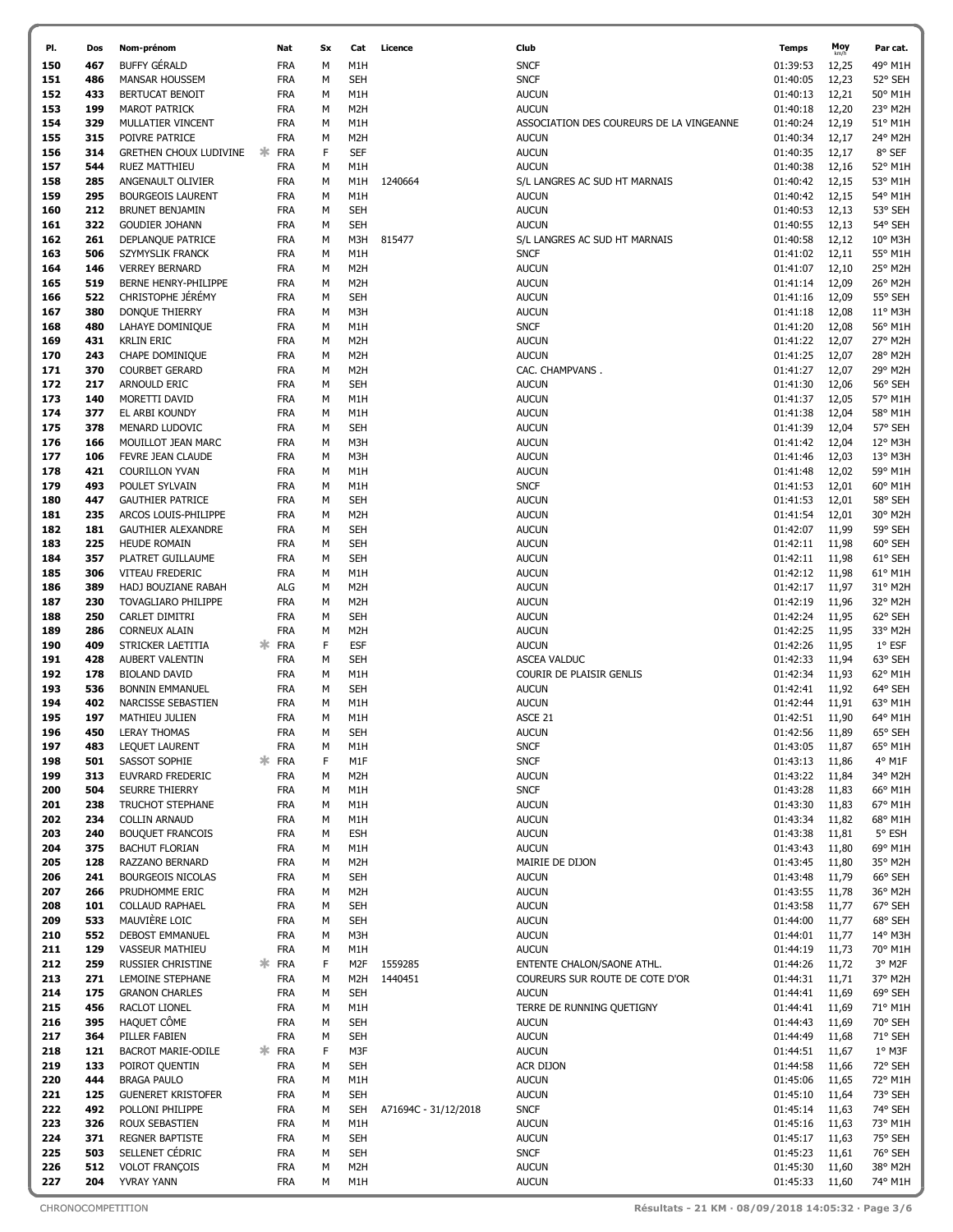| PI.        | Dos        | Nom-prénom                 |    | Nat                      | Sx     | Cat                            | Licence              | Club                                            | <b>Temps</b>         | Moy   | Par cat. |
|------------|------------|----------------------------|----|--------------------------|--------|--------------------------------|----------------------|-------------------------------------------------|----------------------|-------|----------|
| 150        | 467        | <b>BUFFY GÉRALD</b>        |    | <b>FRA</b>               | М      | M1H                            |                      | <b>SNCF</b>                                     | 01:39:53             | 12,25 | 49° M1H  |
| 151        | 486        | <b>MANSAR HOUSSEM</b>      |    | <b>FRA</b>               | М      | <b>SEH</b>                     |                      | <b>SNCF</b>                                     | 01:40:05             | 12,23 | 52° SEH  |
| 152        | 433        | BERTUCAT BENOIT            |    | <b>FRA</b>               | М      | M1H                            |                      | <b>AUCUN</b>                                    | 01:40:13             | 12,21 | 50° M1H  |
| 153        | 199        | <b>MAROT PATRICK</b>       |    | <b>FRA</b>               | М      | M <sub>2</sub> H               |                      | <b>AUCUN</b>                                    | 01:40:18             | 12,20 | 23° M2H  |
| 154        | 329        | MULLATIER VINCENT          |    | <b>FRA</b>               | М      | M1H                            |                      | ASSOCIATION DES COUREURS DE LA VINGEANNE        | 01:40:24             | 12,19 | 51° M1H  |
| 155        | 315        | POIVRE PATRICE             |    | <b>FRA</b>               | М      | M2H                            |                      | <b>AUCUN</b>                                    | 01:40:34             | 12,17 | 24° M2H  |
| 156        | 314        | GRETHEN CHOUX LUDIVINE     | ж  | <b>FRA</b>               | F      | <b>SEF</b>                     |                      | <b>AUCUN</b>                                    | 01:40:35             | 12,17 | 8° SEF   |
| 157        | 544        | RUEZ MATTHIEU              |    | <b>FRA</b>               | M      | M1H                            |                      | <b>AUCUN</b>                                    | 01:40:38             | 12,16 | 52° M1H  |
| 158        | 285        | ANGENAULT OLIVIER          |    | <b>FRA</b>               | М      | M1H                            | 1240664              | S/L LANGRES AC SUD HT MARNAIS                   | 01:40:42             | 12,15 | 53° M1H  |
| 159        | 295        | <b>BOURGEOIS LAURENT</b>   |    | <b>FRA</b>               | М      | M1H                            |                      | <b>AUCUN</b>                                    | 01:40:42             | 12,15 | 54° M1H  |
| 160        | 212        | <b>BRUNET BENJAMIN</b>     |    | <b>FRA</b>               | М      | <b>SEH</b>                     |                      | <b>AUCUN</b>                                    | 01:40:53             | 12,13 | 53° SEH  |
| 161        | 322        | <b>GOUDIER JOHANN</b>      |    | <b>FRA</b>               | М      | <b>SEH</b>                     |                      | <b>AUCUN</b>                                    | 01:40:55             | 12,13 | 54° SEH  |
| 162        | 261        | DEPLANQUE PATRICE          |    | <b>FRA</b>               | М      | M3H                            | 815477               | S/L LANGRES AC SUD HT MARNAIS                   | 01:40:58             | 12,12 | 10° M3H  |
| 163        | 506        | SZYMYSLIK FRANCK           |    | <b>FRA</b>               | M      | M1H                            |                      | <b>SNCF</b>                                     | 01:41:02             | 12,11 | 55° M1H  |
| 164        | 146        | <b>VERREY BERNARD</b>      |    | <b>FRA</b>               | M      | M2H                            |                      | <b>AUCUN</b>                                    | 01:41:07             | 12,10 | 25° M2H  |
| 165        | 519        | BERNE HENRY-PHILIPPE       |    | <b>FRA</b>               | М      | M <sub>2</sub> H               |                      | <b>AUCUN</b>                                    | 01:41:14             | 12,09 | 26° M2H  |
| 166        | 522        | CHRISTOPHE JEREMY          |    | <b>FRA</b>               | M      | <b>SEH</b>                     |                      | <b>AUCUN</b>                                    | 01:41:16             | 12,09 | 55° SEH  |
| 167        | 380        | DONQUE THIERRY             |    | <b>FRA</b>               | М      | M3H                            |                      | <b>AUCUN</b>                                    | 01:41:18             | 12,08 | 11° M3H  |
| 168        | 480        | LAHAYE DOMINIQUE           |    | <b>FRA</b>               | М      | M1H                            |                      | <b>SNCF</b>                                     | 01:41:20             | 12,08 | 56° M1H  |
| 169        | 431        | <b>KRLIN ERIC</b>          |    | <b>FRA</b>               | М      | M2H                            |                      |                                                 |                      | 12,07 | 27° M2H  |
| 170        | 243        |                            |    | <b>FRA</b>               | М      | M <sub>2</sub> H               |                      | <b>AUCUN</b><br><b>AUCUN</b>                    | 01:41:22             |       | 28° M2H  |
|            |            | CHAPE DOMINIQUE            |    |                          |        |                                |                      |                                                 | 01:41:25             | 12,07 |          |
| 171<br>172 | 370<br>217 | <b>COURBET GERARD</b>      |    | <b>FRA</b>               | М<br>М | M <sub>2</sub> H<br><b>SEH</b> |                      | CAC. CHAMPVANS.<br><b>AUCUN</b>                 | 01:41:27<br>01:41:30 | 12,07 | 29° M2H  |
|            |            | ARNOULD ERIC               |    | <b>FRA</b>               |        |                                |                      |                                                 | 01:41:37             | 12,06 | 56° SEH  |
| 173        | 140        | MORETTI DAVID              |    | <b>FRA</b>               | M      | M1H                            |                      | <b>AUCUN</b>                                    |                      | 12,05 | 57° M1H  |
| 174        | 377        | EL ARBI KOUNDY             |    | <b>FRA</b>               | M      | M1H                            |                      | <b>AUCUN</b>                                    | 01:41:38             | 12,04 | 58° M1H  |
| 175        | 378        | MENARD LUDOVIC             |    | <b>FRA</b>               | M      | <b>SEH</b>                     |                      | <b>AUCUN</b>                                    | 01:41:39             | 12,04 | 57° SEH  |
| 176        | 166        | MOUILLOT JEAN MARC         |    | <b>FRA</b>               | М      | M3H                            |                      | <b>AUCUN</b>                                    | 01:41:42             | 12,04 | 12° M3H  |
| 177        | 106        | FEVRE JEAN CLAUDE          |    | <b>FRA</b>               | М      | M3H                            |                      | <b>AUCUN</b>                                    | 01:41:46             | 12,03 | 13° M3H  |
| 178        | 421        | <b>COURILLON YVAN</b>      |    | <b>FRA</b>               | М      | M1H                            |                      | <b>AUCUN</b>                                    | 01:41:48             | 12,02 | 59° M1H  |
| 179        | 493        | POULET SYLVAIN             |    | <b>FRA</b>               | М      | M1H                            |                      | <b>SNCF</b>                                     | 01:41:53             | 12,01 | 60° M1H  |
| 180        | 447        | <b>GAUTHIER PATRICE</b>    |    | <b>FRA</b>               | М      | <b>SEH</b>                     |                      | <b>AUCUN</b>                                    | 01:41:53             | 12,01 | 58° SEH  |
| 181        | 235        | ARCOS LOUIS-PHILIPPE       |    | <b>FRA</b>               | М      | M <sub>2</sub> H               |                      | <b>AUCUN</b>                                    | 01:41:54             | 12,01 | 30° M2H  |
| 182        | 181        | <b>GAUTHIER ALEXANDRE</b>  |    | <b>FRA</b>               | М      | <b>SEH</b>                     |                      | <b>AUCUN</b>                                    | 01:42:07             | 11,99 | 59° SEH  |
| 183        | 225        | <b>HEUDE ROMAIN</b>        |    | <b>FRA</b>               | M      | <b>SEH</b>                     |                      | <b>AUCUN</b>                                    | 01:42:11             | 11,98 | 60° SEH  |
| 184        | 357        | PLATRET GUILLAUME          |    | <b>FRA</b>               | M      | <b>SEH</b>                     |                      | <b>AUCUN</b>                                    | 01:42:11             | 11,98 | 61° SEH  |
| 185        | 306        | VITEAU FREDERIC            |    | <b>FRA</b>               | M      | M1H                            |                      | <b>AUCUN</b>                                    | 01:42:12             | 11,98 | 61° M1H  |
| 186        | 389        | HADJ BOUZIANE RABAH        |    | ALG                      | М      | M <sub>2</sub> H               |                      | <b>AUCUN</b>                                    | 01:42:17             | 11,97 | 31° M2H  |
| 187        | 230        | <b>TOVAGLIARO PHILIPPE</b> |    | <b>FRA</b>               | М      | M <sub>2</sub> H               |                      | <b>AUCUN</b>                                    | 01:42:19             | 11,96 | 32° M2H  |
| 188        | 250        | CARLET DIMITRI             |    | <b>FRA</b>               | М      | <b>SEH</b>                     |                      | <b>AUCUN</b>                                    | 01:42:24             | 11,95 | 62° SEH  |
| 189        | 286        | CORNEUX ALAIN              |    | <b>FRA</b>               | М      | M2H                            |                      | <b>AUCUN</b>                                    | 01:42:25             | 11,95 | 33° M2H  |
| 190        | 409        | STRICKER LAETITIA          | ж  | <b>FRA</b>               | F      | <b>ESF</b>                     |                      | <b>AUCUN</b>                                    | 01:42:26             | 11,95 | $1°$ ESF |
| 191        | 428        | AUBERT VALENTIN            |    | <b>FRA</b>               | М      | <b>SEH</b>                     |                      | <b>ASCEA VALDUC</b>                             | 01:42:33             | 11,94 | 63° SEH  |
| 192        | 178        | <b>BIOLAND DAVID</b>       |    | <b>FRA</b>               | М      | M1H                            |                      | COURIR DE PLAISIR GENLIS                        | 01:42:34             | 11,93 | 62° M1H  |
| 193        | 536        | <b>BONNIN EMMANUEL</b>     |    | <b>FRA</b>               | M      | <b>SEH</b>                     |                      | <b>AUCUN</b>                                    | 01:42:41             | 11,92 | 64° SEH  |
| 194        | 402        | NARCISSE SEBASTIEN         |    | <b>FRA</b>               | M      | M1H                            |                      | <b>AUCUN</b>                                    | 01:42:44             | 11,91 | 63° M1H  |
| 195        | 197        | MATHIEU JULIEN             |    | <b>FRA</b>               | M      | M1H                            |                      | ASCE 21                                         | 01:42:51             | 11,90 | 64° M1H  |
| 196        | 450        | <b>LERAY THOMAS</b>        |    | <b>FRA</b>               | M      | <b>SEH</b>                     |                      | <b>AUCUN</b>                                    | 01:42:56             | 11,89 | 65° SEH  |
| 197        | 483        | <b>LEQUET LAURENT</b>      |    | <b>FRA</b>               | М      | M1H                            |                      | <b>SNCF</b>                                     | 01:43:05             | 11,87 | 65° M1H  |
| 198        | 501        | SASSOT SOPHIE              | ∗  | <b>FRA</b>               | F      | M1F                            |                      | <b>SNCF</b>                                     | 01:43:13             | 11,86 | 4° M1F   |
| 199        | 313        | EUVRARD FREDERIC           |    | <b>FRA</b>               | М      | M <sub>2</sub> H               |                      | <b>AUCUN</b>                                    | 01:43:22             | 11,84 | 34° M2H  |
| 200        | 504        | SEURRE THIERRY             |    | <b>FRA</b>               | м      | M1H                            |                      | <b>SNCF</b>                                     | 01:43:28             | 11,83 | 66° M1H  |
| 201        | 238        | <b>TRUCHOT STEPHANE</b>    |    | <b>FRA</b>               | M      | M1H                            |                      | <b>AUCUN</b>                                    | 01:43:30             | 11,83 | 67° M1H  |
| 202        | 234        | <b>COLLIN ARNAUD</b>       |    | <b>FRA</b>               | M      | M1H                            |                      | <b>AUCUN</b>                                    | 01:43:34             | 11,82 | 68° M1H  |
| 203        | 240        | <b>BOUQUET FRANCOIS</b>    |    | <b>FRA</b>               | М      | <b>ESH</b>                     |                      | <b>AUCUN</b>                                    | 01:43:38             | 11,81 | 5° ESH   |
| 204        | 375        | <b>BACHUT FLORIAN</b>      |    | <b>FRA</b>               | м      | M1H                            |                      | <b>AUCUN</b>                                    | 01:43:43             | 11,80 | 69° M1H  |
| 205        | 128        | RAZZANO BERNARD            |    | <b>FRA</b>               | М      | M <sub>2</sub> H               |                      | MAIRIE DE DIJON                                 | 01:43:45             | 11,80 | 35° M2H  |
| 206        | 241        | <b>BOURGEOIS NICOLAS</b>   |    | <b>FRA</b>               | М      | <b>SEH</b>                     |                      | <b>AUCUN</b>                                    | 01:43:48             | 11,79 | 66° SEH  |
| 207        | 266        | PRUDHOMME ERIC             |    | <b>FRA</b>               | м      | M <sub>2</sub> H               |                      | <b>AUCUN</b>                                    | 01:43:55             | 11,78 | 36° M2H  |
| 208        | 101        | <b>COLLAUD RAPHAEL</b>     |    | FRA                      | М      | <b>SEH</b>                     |                      | <b>AUCUN</b>                                    | 01:43:58             | 11,77 | 67° SEH  |
| 209        | 533        | MAUVIÈRE LOIC              |    | <b>FRA</b>               | м      | <b>SEH</b>                     |                      | <b>AUCUN</b>                                    | 01:44:00             | 11,77 | 68° SEH  |
| 210        | 552        | <b>DEBOST EMMANUEL</b>     |    | <b>FRA</b>               | М      | M3H                            |                      | <b>AUCUN</b>                                    | 01:44:01             | 11,77 | 14° M3H  |
| 211        | 129        | <b>VASSEUR MATHIEU</b>     |    | <b>FRA</b>               | М      | M1H                            |                      | <b>AUCUN</b>                                    | 01:44:19             | 11,73 | 70° M1H  |
| 212        | 259<br>271 | RUSSIER CHRISTINE          | ж. | <b>FRA</b>               | F<br>М | M2F                            | 1559285              | ENTENTE CHALON/SAONE ATHL.                      | 01:44:26             | 11,72 | 3° M2F   |
| 213        | 175        | LEMOINE STEPHANE           |    | <b>FRA</b><br><b>FRA</b> | М      | M <sub>2</sub> H<br><b>SEH</b> | 1440451              | COUREURS SUR ROUTE DE COTE D'OR<br><b>AUCUN</b> | 01:44:31             | 11,71 | 37° M2H  |
| 214        |            | <b>GRANON CHARLES</b>      |    |                          |        |                                |                      |                                                 | 01:44:41             | 11,69 | 69° SEH  |
| 215        | 456        | RACLOT LIONEL              |    | <b>FRA</b>               | М      | M1H                            |                      | TERRE DE RUNNING QUETIGNY                       | 01:44:41             | 11,69 | 71° M1H  |
| 216        | 395        | HAQUET CÔME                |    | FRA                      | м      | <b>SEH</b>                     |                      | <b>AUCUN</b>                                    | 01:44:43             | 11,69 | 70° SEH  |
| 217        | 364        | PILLER FABIEN              |    | FRA                      | М      | <b>SEH</b>                     |                      | <b>AUCUN</b>                                    | 01:44:49             | 11,68 | 71° SEH  |
| 218        | 121        | BACROT MARIE-ODILE         | 氺  | <b>FRA</b>               | F      | M3F                            |                      | <b>AUCUN</b>                                    | 01:44:51             | 11,67 | $1°$ M3F |
| 219        | 133        | POIROT QUENTIN             |    | <b>FRA</b>               | M      | <b>SEH</b>                     |                      | ACR DIJON                                       | 01:44:58             | 11,66 | 72° SEH  |
| 220        | 444        | <b>BRAGA PAULO</b>         |    | <b>FRA</b>               | М      | M1H                            |                      | <b>AUCUN</b>                                    | 01:45:06             | 11,65 | 72° M1H  |
| 221        | 125        | <b>GUENERET KRISTOFER</b>  |    | <b>FRA</b>               | М      | <b>SEH</b>                     |                      | <b>AUCUN</b>                                    | 01:45:10             | 11,64 | 73° SEH  |
| 222        | 492        | POLLONI PHILIPPE           |    | <b>FRA</b>               | М      | <b>SEH</b>                     | A71694C - 31/12/2018 | <b>SNCF</b>                                     | 01:45:14             | 11,63 | 74° SEH  |
| 223        | 326        | ROUX SEBASTIEN             |    | <b>FRA</b>               | М      | M1H                            |                      | <b>AUCUN</b>                                    | 01:45:16             | 11,63 | 73° M1H  |
| 224        | 371        | <b>REGNER BAPTISTE</b>     |    | <b>FRA</b>               | М      | <b>SEH</b>                     |                      | <b>AUCUN</b>                                    | 01:45:17             | 11,63 | 75° SEH  |
| 225        | 503        | SELLENET CÉDRIC            |    | <b>FRA</b>               | М      | <b>SEH</b>                     |                      | <b>SNCF</b>                                     | 01:45:23             | 11,61 | 76° SEH  |
| 226        | 512        | <b>VOLOT FRANÇOIS</b>      |    | <b>FRA</b>               | М      | M2H                            |                      | <b>AUCUN</b>                                    | 01:45:30             | 11,60 | 38° M2H  |
| 227        | 204        | YVRAY YANN                 |    | <b>FRA</b>               | М      | M1H                            |                      | <b>AUCUN</b>                                    | 01:45:33 11,60       |       | 74° M1H  |

ſ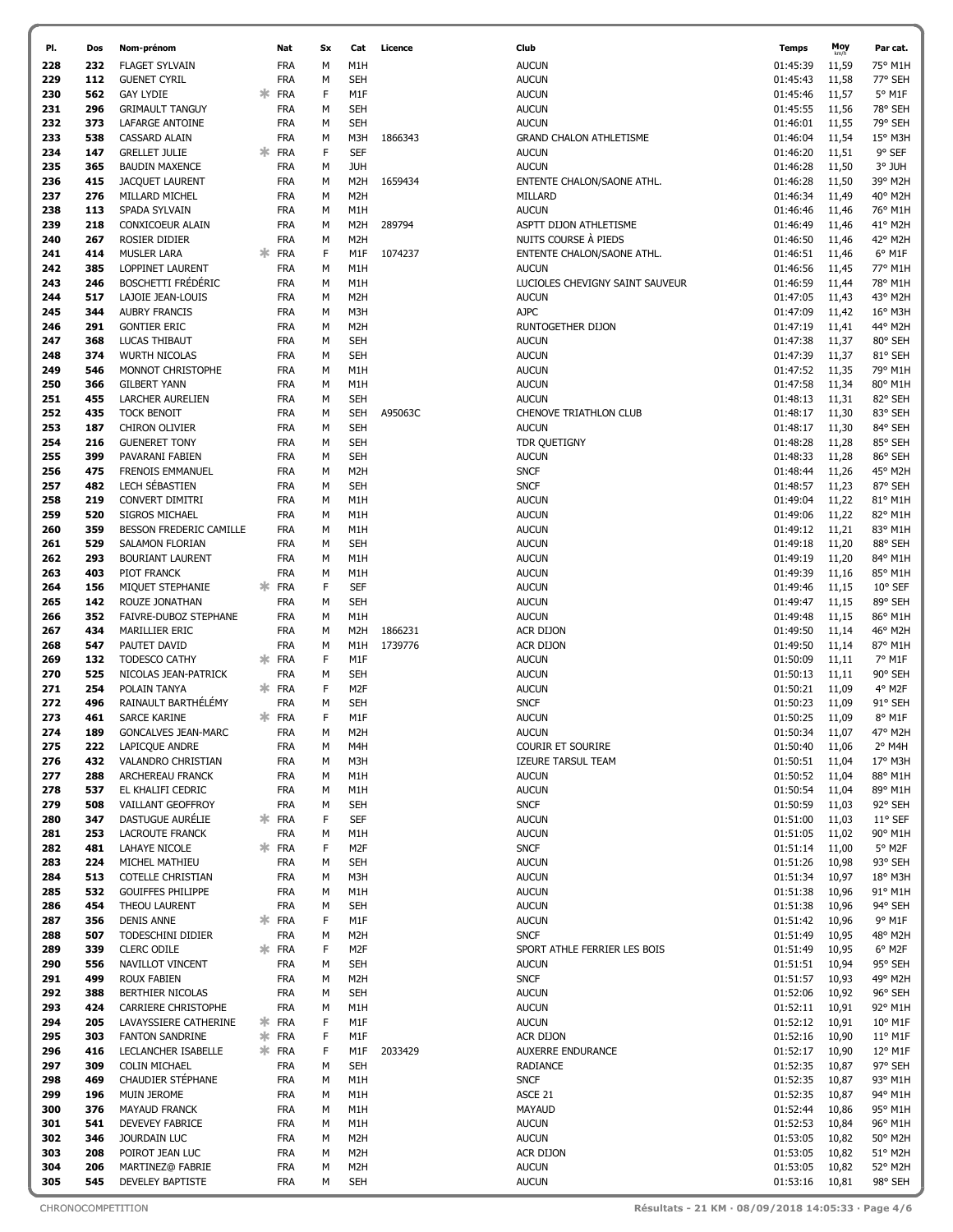| PI.        | Dos        | Nom-prénom                                           |    | Nat                      | <b>Sx</b>    | Cat                            | Licence | Club                                            | <b>Temps</b>         | Moy            | Par cat.                    |
|------------|------------|------------------------------------------------------|----|--------------------------|--------------|--------------------------------|---------|-------------------------------------------------|----------------------|----------------|-----------------------------|
| 228        | 232        | <b>FLAGET SYLVAIN</b>                                |    | <b>FRA</b>               | M            | M1H                            |         | <b>AUCUN</b>                                    | 01:45:39             | 11,59          | 75° M1H                     |
| 229        | 112        | <b>GUENET CYRIL</b>                                  |    | <b>FRA</b>               | M            | <b>SEH</b>                     |         | <b>AUCUN</b>                                    | 01:45:43             | 11,58          | 77° SEH                     |
| 230        | 562        | <b>GAY LYDIE</b>                                     |    | <b>FRA</b>               | F            | M1F                            |         | <b>AUCUN</b>                                    | 01:45:46             | 11,57          | 5° M1F                      |
| 231        | 296        | <b>GRIMAULT TANGUY</b>                               |    | <b>FRA</b>               | M            | SEH                            |         | <b>AUCUN</b>                                    | 01:45:55             | 11,56          | 78° SEH                     |
| 232        | 373        | LAFARGE ANTOINE                                      |    | <b>FRA</b>               | M            | <b>SEH</b>                     |         | <b>AUCUN</b>                                    | 01:46:01             | 11,55          | 79° SEH                     |
| 233        | 538        | <b>CASSARD ALAIN</b>                                 |    | <b>FRA</b>               | M            | M3H                            | 1866343 | <b>GRAND CHALON ATHLETISME</b>                  | 01:46:04             | 11,54          | 15° M3H                     |
| 234        | 147        | <b>GRELLET JULIE</b>                                 |    | <b>FRA</b>               | F            | <b>SEF</b>                     |         | <b>AUCUN</b>                                    | 01:46:20             | 11,51          | 9° SEF                      |
| 235        | 365        | <b>BAUDIN MAXENCE</b>                                |    | <b>FRA</b>               | M            | <b>JUH</b>                     |         | <b>AUCUN</b>                                    | 01:46:28             | 11,50          | 3° JUH                      |
| 236        | 415        | <b>JACQUET LAURENT</b>                               |    | <b>FRA</b>               | M            | M <sub>2</sub> H               | 1659434 | ENTENTE CHALON/SAONE ATHL.                      | 01:46:28             | 11,50          | 39° M2H                     |
| 237        | 276        | MILLARD MICHEL                                       |    | <b>FRA</b>               | M            | M <sub>2</sub> H               |         | MILLARD                                         | 01:46:34             | 11,49          | 40° M2H                     |
| 238        | 113        | SPADA SYLVAIN                                        |    | <b>FRA</b>               | M            | M1H                            |         | <b>AUCUN</b>                                    | 01:46:46             | 11,46          | 76° M1H                     |
| 239        | 218        | CONXICOEUR ALAIN                                     |    | <b>FRA</b>               | M            | M <sub>2</sub> H               | 289794  | ASPTT DIJON ATHLETISME                          | 01:46:49             | 11,46          | 41° M2H                     |
| 240        | 267        | ROSIER DIDIER                                        |    | <b>FRA</b>               | M            | M <sub>2</sub> H               |         | NUITS COURSE À PIEDS                            | 01:46:50             | 11,46          | 42° M2H                     |
| 241        | 414        | <b>MUSLER LARA</b>                                   |    | <b>FRA</b>               | F            | M1F                            | 1074237 | ENTENTE CHALON/SAONE ATHL.                      | 01:46:51             | 11,46          | 6° M1F                      |
| 242<br>243 | 385<br>246 | <b>LOPPINET LAURENT</b><br><b>BOSCHETTI FRÉDÉRIC</b> |    | <b>FRA</b><br><b>FRA</b> | M<br>M       | M1H<br>M1H                     |         | <b>AUCUN</b><br>LUCIOLES CHEVIGNY SAINT SAUVEUR | 01:46:56             | 11,45          | 77° M1H<br>78° M1H          |
| 244        | 517        | LAJOIE JEAN-LOUIS                                    |    | <b>FRA</b>               | M            | M <sub>2</sub> H               |         | <b>AUCUN</b>                                    | 01:46:59<br>01:47:05 | 11,44<br>11,43 | 43° M2H                     |
| 245        | 344        | <b>AUBRY FRANCIS</b>                                 |    | <b>FRA</b>               | M            | M3H                            |         | AJPC                                            | 01:47:09             | 11,42          | 16° M3H                     |
| 246        | 291        | <b>GONTIER ERIC</b>                                  |    | <b>FRA</b>               | M            | M <sub>2</sub> H               |         | RUNTOGETHER DIJON                               | 01:47:19             | 11,41          | 44° M2H                     |
| 247        | 368        | LUCAS THIBAUT                                        |    | <b>FRA</b>               | M            | <b>SEH</b>                     |         | <b>AUCUN</b>                                    | 01:47:38             | 11,37          | 80° SEH                     |
| 248        | 374        | <b>WURTH NICOLAS</b>                                 |    | <b>FRA</b>               | M            | SEH                            |         | <b>AUCUN</b>                                    | 01:47:39             | 11,37          | 81° SEH                     |
| 249        | 546        | MONNOT CHRISTOPHE                                    |    | <b>FRA</b>               | M            | M1H                            |         | <b>AUCUN</b>                                    | 01:47:52             | 11,35          | 79° M1H                     |
| 250        | 366        | <b>GILBERT YANN</b>                                  |    | <b>FRA</b>               | M            | M1H                            |         | <b>AUCUN</b>                                    | 01:47:58             | 11,34          | 80° M1H                     |
| 251        | 455        | <b>LARCHER AURELIEN</b>                              |    | <b>FRA</b>               | M            | <b>SEH</b>                     |         | <b>AUCUN</b>                                    | 01:48:13             | 11,31          | 82° SEH                     |
| 252        | 435        | <b>TOCK BENOIT</b>                                   |    | <b>FRA</b>               | M            | <b>SEH</b>                     | A95063C | <b>CHENOVE TRIATHLON CLUB</b>                   | 01:48:17             | 11,30          | 83° SEH                     |
| 253        | 187        | CHIRON OLIVIER                                       |    | <b>FRA</b>               | M            | SEH                            |         | <b>AUCUN</b>                                    | 01:48:17             | 11,30          | 84° SEH                     |
| 254        | 216        | <b>GUENERET TONY</b>                                 |    | <b>FRA</b>               | M            | <b>SEH</b>                     |         | TDR QUETIGNY                                    | 01:48:28             | 11,28          | 85° SEH                     |
| 255        | 399        | PAVARANI FABIEN                                      |    | <b>FRA</b>               | M            | <b>SEH</b>                     |         | <b>AUCUN</b>                                    | 01:48:33             | 11,28          | 86° SEH                     |
| 256        | 475        | FRENOIS EMMANUEL                                     |    | <b>FRA</b>               | M            | M <sub>2</sub> H               |         | <b>SNCF</b>                                     | 01:48:44             | 11,26          | 45° M2H                     |
| 257        | 482        | LECH SÉBASTIEN                                       |    | <b>FRA</b>               | M            | <b>SEH</b>                     |         | <b>SNCF</b>                                     | 01:48:57             | 11,23          | 87° SEH                     |
| 258        | 219        | <b>CONVERT DIMITRI</b>                               |    | <b>FRA</b>               | M            | M1H                            |         | <b>AUCUN</b>                                    | 01:49:04             | 11,22          | 81° M1H                     |
| 259        | 520        | SIGROS MICHAEL                                       |    | <b>FRA</b>               | M            | M1H                            |         | <b>AUCUN</b>                                    | 01:49:06             | 11,22          | 82° M1H                     |
| 260        | 359        | BESSON FREDERIC CAMILLE                              |    | <b>FRA</b>               | M            | M1H                            |         | <b>AUCUN</b>                                    | 01:49:12             | 11,21          | 83° M1H                     |
| 261        | 529        | SALAMON FLORIAN                                      |    | <b>FRA</b>               | M            | <b>SEH</b>                     |         | <b>AUCUN</b>                                    | 01:49:18             | 11,20          | 88° SEH                     |
| 262        | 293        | <b>BOURIANT LAURENT</b>                              |    | <b>FRA</b>               | M            | M1H                            |         | <b>AUCUN</b>                                    | 01:49:19             | 11,20          | 84° M1H                     |
| 263        | 403        | PIOT FRANCK                                          |    | <b>FRA</b>               | M<br>F       | M1H                            |         | <b>AUCUN</b>                                    | 01:49:39             | 11,16          | 85° M1H                     |
| 264<br>265 | 156<br>142 | MIQUET STEPHANIE                                     |    | <b>FRA</b><br><b>FRA</b> | M            | <b>SEF</b><br><b>SEH</b>       |         | <b>AUCUN</b><br><b>AUCUN</b>                    | 01:49:46<br>01:49:47 | 11,15<br>11,15 | $10^{\circ}$ SEF<br>89° SEH |
| 266        | 352        | ROUZE JONATHAN<br>FAIVRE-DUBOZ STEPHANE              |    | <b>FRA</b>               | M            | M1H                            |         | <b>AUCUN</b>                                    | 01:49:48             | 11,15          | 86° M1H                     |
| 267        | 434        | MARILLIER ERIC                                       |    | <b>FRA</b>               | M            | M <sub>2</sub> H               | 1866231 | <b>ACR DIJON</b>                                | 01:49:50             | 11,14          | 46° M2H                     |
| 268        | 547        | PAUTET DAVID                                         |    | <b>FRA</b>               | M            | M1H                            | 1739776 | ACR DIJON                                       | 01:49:50             | 11,14          | 87° M1H                     |
| 269        | 132        | <b>TODESCO CATHY</b>                                 | 氺  | <b>FRA</b>               | F            | M1F                            |         | <b>AUCUN</b>                                    | 01:50:09             | 11,11          | 7° M1F                      |
| 270        | 525        | NICOLAS JEAN-PATRICK                                 |    | <b>FRA</b>               | M            | <b>SEH</b>                     |         | <b>AUCUN</b>                                    | 01:50:13             | 11,11          | 90° SEH                     |
| 271        | 254        | POLAIN TANYA                                         | ж. | <b>FRA</b>               | F            | M <sub>2F</sub>                |         | <b>AUCUN</b>                                    | 01:50:21             | 11,09          | 4° M2F                      |
| 272        | 496        | RAINAULT BARTHELEMY                                  |    | <b>FRA</b>               | M            | <b>SEH</b>                     |         | <b>SNCF</b>                                     | 01:50:23             | 11,09          | 91° SEH                     |
| 273        | 461        | <b>SARCE KARINE</b>                                  |    | * FRA                    | F            | M1F                            |         | <b>AUCUN</b>                                    | 01:50:25             | 11,09          | 8° M1F                      |
| 274        | 189        | <b>GONCALVES JEAN-MARC</b>                           |    | <b>FRA</b>               | М            | M <sub>2</sub> H               |         | <b>AUCUN</b>                                    | 01:50:34             | 11,07          | 47° M2H                     |
| 275        | 222        | LAPICQUE ANDRE                                       |    | <b>FRA</b>               | M            | M4H                            |         | COURIR ET SOURIRE                               | 01:50:40             | 11,06          | 2° M4H                      |
| 276        | 432        | VALANDRO CHRISTIAN                                   |    | <b>FRA</b>               | M            | M3H                            |         | <b>IZEURE TARSUL TEAM</b>                       | 01:50:51             | 11,04          | 17° M3H                     |
| 277        | 288        | ARCHEREAU FRANCK                                     |    | <b>FRA</b>               | М            | M1H                            |         | <b>AUCUN</b>                                    | 01:50:52             | 11,04          | 88° M1H                     |
| 278        | 537        | EL KHALIFI CEDRIC                                    |    | <b>FRA</b>               | М            | M1H                            |         | <b>AUCUN</b>                                    | 01:50:54             | 11,04          | 89° M1H                     |
| 279        | 508        | VAILLANT GEOFFROY                                    |    | <b>FRA</b>               | М            | <b>SEH</b>                     |         | <b>SNCF</b>                                     | 01:50:59             | 11,03          | 92° SEH                     |
| 280        | 347        | DASTUGUE AURÉLIE                                     | ж. | <b>FRA</b>               | $\mathsf{F}$ | <b>SEF</b>                     |         | <b>AUCUN</b>                                    | 01:51:00             | 11,03          | 11° SEF                     |
| 281        | 253        | <b>LACROUTE FRANCK</b>                               |    | <b>FRA</b>               | M            | M1H                            |         | <b>AUCUN</b>                                    | 01:51:05             | 11,02          | 90° M1H                     |
| 282        | 481        | LAHAYE NICOLE                                        | 氺  | <b>FRA</b>               | F            | M <sub>2F</sub>                |         | <b>SNCF</b>                                     | 01:51:14             | 11,00          | 5° M2F                      |
| 283<br>284 | 224<br>513 | MICHEL MATHIEU<br><b>COTELLE CHRISTIAN</b>           |    | <b>FRA</b><br><b>FRA</b> | M<br>M       | <b>SEH</b><br>M3H              |         | <b>AUCUN</b><br><b>AUCUN</b>                    | 01:51:26<br>01:51:34 | 10,98<br>10,97 | 93° SEH<br>18° M3H          |
| 285        | 532        | <b>GOUIFFES PHILIPPE</b>                             |    | <b>FRA</b>               | М            | M1H                            |         | <b>AUCUN</b>                                    | 01:51:38             | 10,96          | 91° M1H                     |
| 286        | 454        | THEOU LAURENT                                        |    | <b>FRA</b>               | M            | <b>SEH</b>                     |         | <b>AUCUN</b>                                    | 01:51:38             | 10,96          | 94° SEH                     |
| 287        | 356        | <b>DENIS ANNE</b>                                    | ж  | <b>FRA</b>               | F            | M1F                            |         | <b>AUCUN</b>                                    | 01:51:42             | 10,96          | 9° M1F                      |
| 288        | 507        | TODESCHINI DIDIER                                    |    | <b>FRA</b>               | М            | M <sub>2</sub> H               |         | <b>SNCF</b>                                     | 01:51:49             | 10,95          | 48° M2H                     |
| 289        | 339        | <b>CLERC ODILE</b>                                   | ж. | <b>FRA</b>               | F            | M <sub>2F</sub>                |         | SPORT ATHLE FERRIER LES BOIS                    | 01:51:49             | 10,95          | 6° M2F                      |
| 290        | 556        | NAVILLOT VINCENT                                     |    | <b>FRA</b>               | M            | <b>SEH</b>                     |         | <b>AUCUN</b>                                    | 01:51:51             | 10,94          | 95° SEH                     |
| 291        | 499        | <b>ROUX FABIEN</b>                                   |    | <b>FRA</b>               | M            | M <sub>2</sub> H               |         | <b>SNCF</b>                                     | 01:51:57             | 10,93          | 49° M2H                     |
| 292        | 388        | BERTHIER NICOLAS                                     |    | <b>FRA</b>               | M            | <b>SEH</b>                     |         | <b>AUCUN</b>                                    | 01:52:06             | 10,92          | 96° SEH                     |
| 293        | 424        | CARRIERE CHRISTOPHE                                  |    | <b>FRA</b>               | M            | M1H                            |         | <b>AUCUN</b>                                    | 01:52:11             | 10,91          | 92° M1H                     |
| 294        | 205        | LAVAYSSIERE CATHERINE                                |    | * FRA                    | F            | M1F                            |         | <b>AUCUN</b>                                    | 01:52:12             | 10,91          | 10° M1F                     |
| 295        | 303        | <b>FANTON SANDRINE</b>                               | ж  | <b>FRA</b>               | F            | M1F                            |         | <b>ACR DIJON</b>                                | 01:52:16             | 10,90          | 11° M1F                     |
| 296        | 416        | LECLANCHER ISABELLE                                  | ж. | <b>FRA</b>               | F            | M1F                            | 2033429 | <b>AUXERRE ENDURANCE</b>                        | 01:52:17             | 10,90          | 12° M1F                     |
| 297        | 309        | <b>COLIN MICHAEL</b>                                 |    | <b>FRA</b>               | М            | <b>SEH</b>                     |         | RADIANCE                                        | 01:52:35             | 10,87          | 97° SEH                     |
| 298        | 469        | <b>CHAUDIER STÉPHANE</b>                             |    | <b>FRA</b>               | M            | M1H                            |         | <b>SNCF</b>                                     | 01:52:35             | 10,87          | 93° M1H                     |
| 299        | 196        | MUIN JEROME                                          |    | <b>FRA</b>               | М            | M1H                            |         | ASCE 21                                         | 01:52:35             | 10,87          | 94° M1H                     |
| 300        | 376        | <b>MAYAUD FRANCK</b>                                 |    | <b>FRA</b>               | M            | M1H                            |         | MAYAUD                                          | 01:52:44             | 10,86          | 95° M1H                     |
| 301        | 541        | DEVEVEY FABRICE                                      |    | <b>FRA</b>               | M            | M1H                            |         | <b>AUCUN</b>                                    | 01:52:53             | 10,84          | 96° M1H                     |
| 302        | 346        | JOURDAIN LUC                                         |    | <b>FRA</b>               | М            | M <sub>2</sub> H               |         | <b>AUCUN</b>                                    | 01:53:05             | 10,82          | 50° M2H                     |
| 303<br>304 | 208<br>206 | POIROT JEAN LUC                                      |    | <b>FRA</b>               | М            | M <sub>2</sub> H               |         | <b>ACR DIJON</b>                                | 01:53:05             | 10,82          | 51° M2H                     |
| 305        | 545        | MARTINEZ@ FABRIE<br><b>DEVELEY BAPTISTE</b>          |    | <b>FRA</b><br><b>FRA</b> | M<br>М       | M <sub>2</sub> H<br><b>SEH</b> |         | <b>AUCUN</b><br><b>AUCUN</b>                    | 01:53:05<br>01:53:16 | 10,82<br>10,81 | 52° M2H<br>98° SEH          |
|            |            |                                                      |    |                          |              |                                |         |                                                 |                      |                |                             |

|                     | UI:45:39             | 11,59          | חוויו "כ/          |
|---------------------|----------------------|----------------|--------------------|
|                     | 01:45:43             | 11,58          | 77° SEH            |
|                     | 01:45:46             | 11,57          | 5° M1F             |
|                     | 01:45:55             | 11,56          | 78° SEH            |
| HLETISME            | 01:46:01<br>01:46:04 | 11,55          | 79° SEH<br>15° M3H |
|                     | 01:46:20             | 11,54<br>11,51 | 9° SEF             |
|                     | 01:46:28             | 11,50          | 3° JUH             |
| SAONE ATHL.         | 01:46:28             | 11,50          | 39° M2H            |
|                     | 01:46:34             | 11,49          | 40° M2H            |
|                     | 01:46:46             | 11,46          | 76° M1H            |
| etisme              | 01:46:49             | 11,46          | 41° M2H            |
| <b>IEDS</b>         | 01:46:50             | 11,46          | 42° M2H            |
| SAONE ATHL.         | 01:46:51             | 11,46          | 6° M1F             |
|                     | 01:46:56             | 11,45          | 77° M1H            |
| Y SAINT SAUVEUR     | 01:46:59             | 11,44          | 78° M1H            |
|                     | 01:47:05             | 11,43          | 43° M2H            |
|                     | 01:47:09             | 11,42          | 16° M3H            |
| ЮC                  | 01:47:19             | 11,41          | 44° M2H            |
|                     | 01:47:38             | 11,37          | 80° SEH            |
|                     | 01:47:39             | 11,37          | 81° SEH            |
|                     | 01:47:52             | 11,35          | 79° M1H            |
|                     | 01:47:58             | 11,34          | 80° M1H            |
|                     | 01:48:13             | 11,31          | 82° SEH            |
| on Club             | 01:48:17             | 11,30          | 83° SEH            |
|                     | 01:48:17             | 11,30          | 84° SEH            |
|                     | 01:48:28             | 11,28          | 85° SEH            |
|                     | 01:48:33             | 11,28          | 86° SEH            |
|                     | 01:48:44             | 11,26          | 45° M2H            |
|                     | 01:48:57             | 11,23          | 87° SEH            |
|                     | 01:49:04             | 11,22          | 81° M1H            |
|                     | 01:49:06             | 11,22          | 82° M1H            |
|                     | 01:49:12             | 11,21          | 83° M1H            |
|                     | 01:49:18             | 11,20          | 88° SEH            |
|                     | 01:49:19             | 11,20          | 84° M1H            |
|                     | 01:49:39             | 11,16          | 85° M1H            |
|                     | 01:49:46             | 11,15          | 10° SEF            |
|                     | 01:49:47             | 11,15          | 89° SEH            |
|                     | 01:49:48             | 11,15          | 86° M1H            |
|                     | 01:49:50             | 11,14          | 46° M2H            |
|                     | 01:49:50             | 11,14          | 87° M1H            |
|                     | 01:50:09<br>01:50:13 | 11,11<br>11,11 | 7° M1F             |
|                     | 01:50:21             | 11,09          | 90° SEH<br>4° M2F  |
|                     | 01:50:23             | 11,09          | 91° SEH            |
|                     | 01:50:25             | 11,09          | 8° M1F             |
|                     | 01:50:34             | 11,07          | 47° M2H            |
| E                   | 01:50:40             | 11,06          | 2° M4H             |
| ۹М                  | 01:50:51             | 11,04          | 17° M3H            |
|                     | 01:50:52             | 11,04          | 88° M1H            |
|                     | 01:50:54             | 11,04          | 89° M1H            |
|                     | 01:50:59             | 11,03          | 92° SEH            |
|                     | 01:51:00             | 11,03          | $11^{\circ}$ SEF   |
|                     | 01:51:05             | 11,02          | 90° M1H            |
|                     | 01:51:14             | 11,00          | 5° M2F             |
|                     | 01:51:26             | 10,98          | 93° SEH            |
|                     | 01:51:34             | 10,97          | 18° M3H            |
|                     | 01:51:38             | 10,96          | 91° M1H            |
|                     | 01:51:38             | 10,96          | 94° SEH            |
|                     | 01:51:42             | 10,96          | 9° M1F             |
|                     | 01:51:49             | 10,95          | 48° M2H            |
| <b>IER LES BOIS</b> | 01:51:49             | 10,95          | $6^{\circ}$ M2F    |
|                     | 01:51:51             | 10,94          | 95° SEH            |
|                     | 01:51:57             | 10,93          | 49° M2H            |
|                     | 01:52:06             | 10,92          | 96° SEH            |
|                     | 01:52:11             | 10,91          | 92° M1H            |
|                     | 01:52:12             | 10,91          | 10° M1F            |
|                     | 01:52:16             | 10,90          | 11° M1F            |
| СE                  | 01:52:17             | 10,90          | 12° M1F            |
|                     | 01:52:35             | 10,87          | 97° SEH            |
|                     | 01:52:35             | 10,87          | 93° M1H            |
|                     | 01:52:35             | 10,87          | 94° M1H            |
|                     | 01:52:44             | 10,86          | 95° M1H            |
|                     | 01:52:53             | 10,84          | 96° M1H            |
|                     | 01:53:05             | 10,82          | 50° M2H            |
|                     | 01:53:05             | 10,82          | 51° M2H            |
|                     | 01:53:05             | 10,82          | 52° M2H            |
|                     | 01:53:16             | 10,81          | 98° SEH            |

J.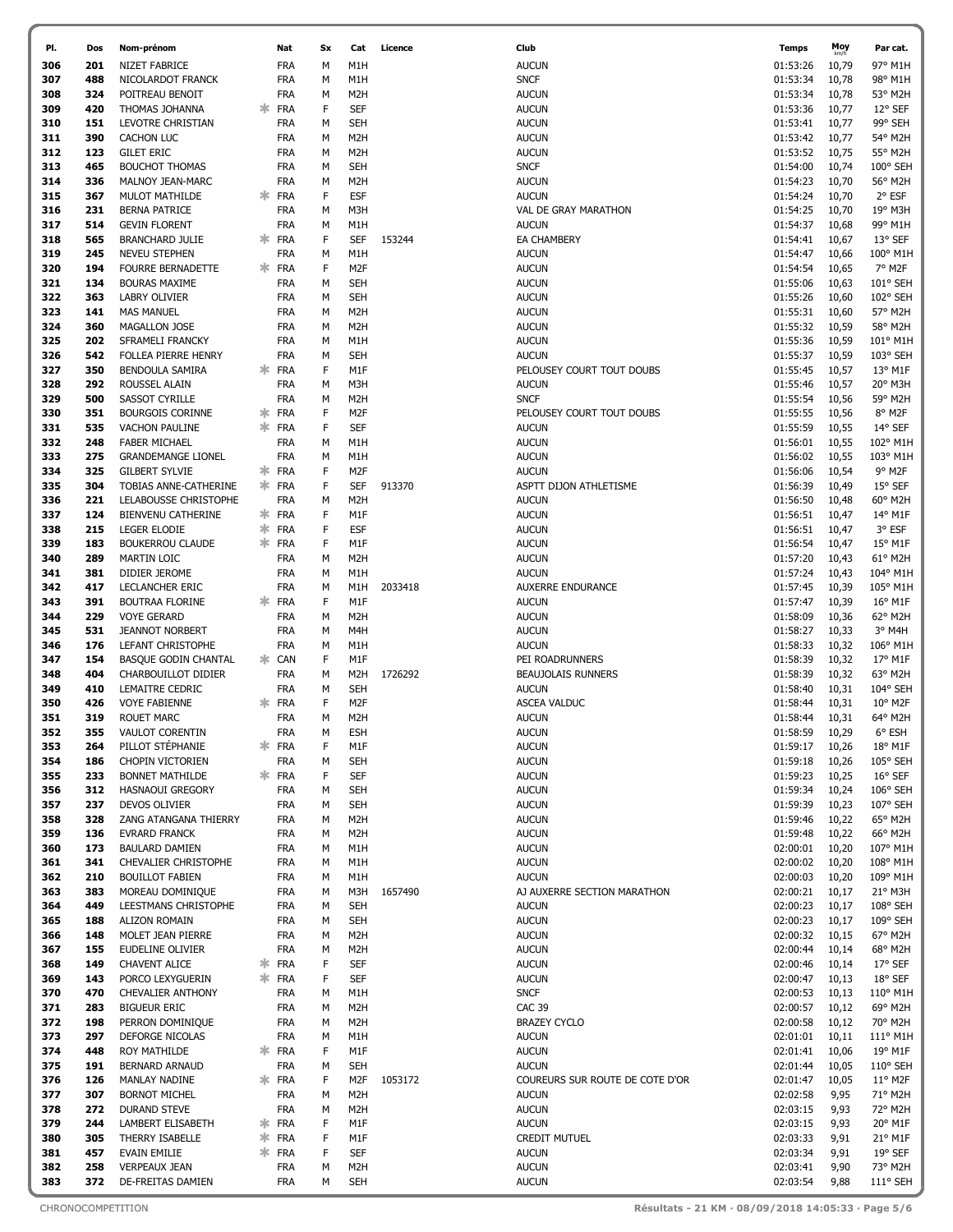| PI.        | Dos        | Nom-prénom                                     |         | Nat                      | Sx     | Cat               | Licence | Club                                     | <b>Temps</b>         | Moy<br>km/h    | Par cat.             |
|------------|------------|------------------------------------------------|---------|--------------------------|--------|-------------------|---------|------------------------------------------|----------------------|----------------|----------------------|
| 306        | 201        | NIZET FABRICE                                  |         | FRA                      | М      | M1H               |         | <b>AUCUN</b>                             | 01:53:26             | 10,79          | 97° M1H              |
| 307        | 488        | NICOLARDOT FRANCK                              |         | FRA                      | м      | M1H               |         | <b>SNCF</b>                              | 01:53:34             | 10,78          | 98° M1H              |
| 308        | 324        | POITREAU BENOIT                                |         | <b>FRA</b>               | М      | M <sub>2</sub> H  |         | <b>AUCUN</b>                             | 01:53:34             | 10,78          | 53° M2H              |
| 309        | 420        | THOMAS JOHANNA                                 | ж       | <b>FRA</b>               | F      | <b>SEF</b>        |         | <b>AUCUN</b>                             | 01:53:36             | 10,77          | 12° SEF              |
| 310        | 151        | LEVOTRE CHRISTIAN                              |         | FRA                      | м      | <b>SEH</b>        |         | <b>AUCUN</b>                             | 01:53:41             | 10,77          | 99° SEH              |
| 311        | 390        | CACHON LUC                                     |         | <b>FRA</b>               | м      | M <sub>2</sub> H  |         | <b>AUCUN</b>                             | 01:53:42             | 10,77          | 54° M2H              |
| 312        | 123        | <b>GILET ERIC</b>                              |         | <b>FRA</b>               | м      | M <sub>2</sub> H  |         | <b>AUCUN</b>                             | 01:53:52             | 10,75          | 55° M2H              |
| 313        | 465        | <b>BOUCHOT THOMAS</b>                          |         | <b>FRA</b>               | М      | SEH               |         | <b>SNCF</b>                              | 01:54:00             | 10,74          | 100° SEH             |
| 314        | 336        | MALNOY JEAN-MARC                               |         | <b>FRA</b>               | м      | M <sub>2</sub> H  |         | <b>AUCUN</b>                             | 01:54:23             | 10,70          | 56° M2H              |
| 315        | 367        | <b>MULOT MATHILDE</b>                          | ж       | <b>FRA</b>               | F      | <b>ESF</b>        |         | <b>AUCUN</b>                             | 01:54:24             | 10,70          | 2° ESF               |
| 316        | 231        | <b>BERNA PATRICE</b>                           |         | FRA                      | м      | M3H               |         | VAL DE GRAY MARATHON                     | 01:54:25             | 10,70          | 19° M3H              |
| 317        | 514        | <b>GEVIN FLORENT</b>                           |         | <b>FRA</b>               | м      | M1H               |         | <b>AUCUN</b>                             | 01:54:37<br>01:54:41 | 10,68          | 99° M1H              |
| 318<br>319 | 565<br>245 | <b>BRANCHARD JULIE</b><br><b>NEVEU STEPHEN</b> | ж       | <b>FRA</b><br>FRA        | F<br>м | <b>SEF</b><br>M1H | 153244  | <b>EA CHAMBERY</b><br><b>AUCUN</b>       | 01:54:47             | 10,67          | 13° SEF<br>100° M1H  |
| 320        | 194        | <b>FOURRE BERNADETTE</b>                       |         | <b>FRA</b>               | F      | M <sub>2F</sub>   |         | <b>AUCUN</b>                             | 01:54:54             | 10,66<br>10,65 | 7° M2F               |
| 321        | 134        | <b>BOURAS MAXIME</b>                           |         | FRA                      | м      | <b>SEH</b>        |         | <b>AUCUN</b>                             | 01:55:06             | 10,63          | 101° SEH             |
| 322        | 363        | LABRY OLIVIER                                  |         | <b>FRA</b>               | м      | SEH               |         | <b>AUCUN</b>                             | 01:55:26             | 10,60          | 102° SEH             |
| 323        | 141        | <b>MAS MANUEL</b>                              |         | <b>FRA</b>               | м      | M <sub>2</sub> H  |         | <b>AUCUN</b>                             | 01:55:31             | 10,60          | 57° M2H              |
| 324        | 360        | MAGALLON JOSE                                  |         | <b>FRA</b>               | М      | M <sub>2</sub> H  |         | <b>AUCUN</b>                             | 01:55:32             | 10,59          | 58° M2H              |
| 325        | 202        | SFRAMELI FRANCKY                               |         | <b>FRA</b>               | M      | M1H               |         | <b>AUCUN</b>                             | 01:55:36             | 10,59          | 101° M1H             |
| 326        | 542        | FOLLEA PIERRE HENRY                            |         | <b>FRA</b>               | М      | SEH               |         | <b>AUCUN</b>                             | 01:55:37             | 10,59          | 103° SEH             |
| 327        | 350        | BENDOULA SAMIRA                                | ж       | <b>FRA</b>               | F      | M1F               |         | PELOUSEY COURT TOUT DOUBS                | 01:55:45             | 10,57          | 13° M1F              |
| 328        | 292        | ROUSSEL ALAIN                                  |         | FRA                      | м      | M3H               |         | <b>AUCUN</b>                             | 01:55:46             | 10,57          | 20° M3H              |
| 329        | 500        | SASSOT CYRILLE                                 |         | <b>FRA</b>               | м      | M <sub>2</sub> H  |         | <b>SNCF</b>                              | 01:55:54             | 10,56          | 59° M2H              |
| 330        | 351        | <b>BOURGOIS CORINNE</b>                        | ж.      | <b>FRA</b>               | F      | M <sub>2</sub> F  |         | PELOUSEY COURT TOUT DOUBS                | 01:55:55             | 10,56          | 8° M2F               |
| 331        | 535        | <b>VACHON PAULINE</b>                          | ж.      | <b>FRA</b>               | F      | <b>SEF</b>        |         | <b>AUCUN</b>                             | 01:55:59             | 10,55          | 14° SEF              |
| 332        | 248        | <b>FABER MICHAEL</b>                           |         | FRA                      | м      | M1H               |         | <b>AUCUN</b>                             | 01:56:01             | 10,55          | 102° M1H             |
| 333        | 275        | <b>GRANDEMANGE LIONEL</b>                      |         | FRA                      | м      | M1H               |         | <b>AUCUN</b>                             | 01:56:02             | 10,55          | 103° M1H             |
| 334        | 325        | <b>GILBERT SYLVIE</b>                          | ж.      | <b>FRA</b>               | F      | M <sub>2F</sub>   |         | <b>AUCUN</b>                             | 01:56:06             | 10,54          | 9° M2F               |
| 335        | 304        | TOBIAS ANNE-CATHERINE                          | ж.      | FRA                      | F      | <b>SEF</b>        | 913370  | ASPTT DIJON ATHLETISME                   | 01:56:39             | 10,49          | 15° SEF              |
| 336        | 221        | LELABOUSSE CHRISTOPHE                          |         | FRA                      | м      | M <sub>2</sub> H  |         | <b>AUCUN</b>                             | 01:56:50             | 10,48          | 60° M2H              |
| 337        | 124        | <b>BIENVENU CATHERINE</b>                      | ∗.      | <b>FRA</b>               | F      | M1F               |         | <b>AUCUN</b>                             | 01:56:51             | 10,47          | 14° M1F              |
| 338        | 215        | <b>LEGER ELODIE</b>                            | ∗       | <b>FRA</b>               | F      | <b>ESF</b>        |         | <b>AUCUN</b>                             | 01:56:51             | 10,47          | 3° ESF               |
| 339        | 183        | <b>BOUKERROU CLAUDE</b>                        | 氺       | <b>FRA</b>               | F      | M1F               |         | <b>AUCUN</b>                             | 01:56:54             | 10,47          | 15° M1F              |
| 340        | 289        | <b>MARTIN LOIC</b>                             |         | <b>FRA</b>               | м      | M <sub>2</sub> H  |         | <b>AUCUN</b>                             | 01:57:20             | 10,43          | 61° M2H              |
| 341<br>342 | 381        | DIDIER JEROME                                  |         | <b>FRA</b><br><b>FRA</b> | м      | M1H               |         | <b>AUCUN</b><br><b>AUXERRE ENDURANCE</b> | 01:57:24<br>01:57:45 | 10,43          | 104° M1H<br>105° M1H |
| 343        | 417<br>391 | LECLANCHER ERIC<br><b>BOUTRAA FLORINE</b>      | ж       | <b>FRA</b>               | M<br>F | M1H<br>M1F        | 2033418 | AUCUN                                    | 01:57:47             | 10,39<br>10,39 | 16° M1F              |
| 344        | 229        | <b>VOYE GERARD</b>                             |         | FRA                      | м      | M <sub>2</sub> H  |         | <b>AUCUN</b>                             | 01:58:09             | 10,36          | 62° M2H              |
| 345        | 531        | <b>JEANNOT NORBERT</b>                         |         | <b>FRA</b>               | м      | M4H               |         | <b>AUCUN</b>                             | 01:58:27             | 10,33          | 3° M4H               |
| 346        | 176        | <b>LEFANT CHRISTOPHE</b>                       |         | FRA                      | м      | M1H               |         | <b>AUCUN</b>                             | 01:58:33             | 10,32          | 106° M1H             |
| 347        | 154        | <b>BASQUE GODIN CHANTAL</b>                    | ж.      | CAN                      | F      | M1F               |         | PEI ROADRUNNERS                          | 01:58:39             | 10,32          | 17° M1F              |
| 348        | 404        | CHARBOUILLOT DIDIER                            |         | <b>FRA</b>               | м      | M <sub>2</sub> H  | 1726292 | <b>BEAUJOLAIS RUNNERS</b>                | 01:58:39             | 10,32          | 63° M2H              |
| 349        | 410        | LEMAITRE CEDRIC                                |         | FRA                      | м      | <b>SEH</b>        |         | <b>AUCUN</b>                             | 01:58:40             | 10,31          | 104° SEH             |
| 350        | 426        | <b>VOYE FABIENNE</b>                           | ж       | <b>FRA</b>               | F      | M <sub>2F</sub>   |         | <b>ASCEA VALDUC</b>                      | 01:58:44             | 10,31          | 10° M2F              |
| 351        | 319        | <b>ROUET MARC</b>                              |         | FRA                      | м      | M <sub>2</sub> H  |         | <b>AUCUN</b>                             | 01:58:44             | 10,31          | 64° M2H              |
| 352        | 355        | <b>VAULOT CORENTIN</b>                         |         | <b>FRA</b>               | M      | <b>ESH</b>        |         | <b>AUCUN</b>                             | 01:58:59             | 10,29          | 6° ESH               |
| 353        | 264        | PILLOT STÉPHANIE                               | ∗.      | <b>FRA</b>               | F      | M1F               |         | <b>AUCUN</b>                             | 01:59:17             | 10,26          | 18° M1F              |
| 354        | 186        | <b>CHOPIN VICTORIEN</b>                        |         | <b>FRA</b>               | м      | SEH               |         | <b>AUCUN</b>                             | 01:59:18             | 10,26          | 105° SEH             |
| 355        | 233        | <b>BONNET MATHILDE</b>                         | Ж.      | <b>FRA</b>               | F      | <b>SEF</b>        |         | <b>AUCUN</b>                             | 01:59:23             | 10,25          | 16° SEF              |
| 356        | 312        | <b>HASNAOUI GREGORY</b>                        |         | FRA                      | М      | SEH               |         | <b>AUCUN</b>                             | 01:59:34             | 10,24          | 106° SEH             |
| 357        | 237        | DEVOS OLIVIER                                  |         | FRA                      | м      | SEH               |         | <b>AUCUN</b>                             | 01:59:39             | 10,23          | 107° SEH             |
| 358        | 328        | ZANG ATANGANA THIERRY                          |         | <b>FRA</b>               | М      | M <sub>2</sub> H  |         | <b>AUCUN</b>                             | 01:59:46             | 10,22          | 65° M2H              |
| 359        | 136        | <b>EVRARD FRANCK</b>                           |         | <b>FRA</b>               | М      | M <sub>2</sub> H  |         | <b>AUCUN</b>                             | 01:59:48             | 10,22          | 66° M2H              |
| 360<br>361 | 173<br>341 | <b>BAULARD DAMIEN</b><br>CHEVALIER CHRISTOPHE  |         | <b>FRA</b><br><b>FRA</b> | М<br>M | M1H<br>M1H        |         | <b>AUCUN</b><br><b>AUCUN</b>             | 02:00:01<br>02:00:02 | 10,20<br>10,20 | 107° M1H<br>108° M1H |
| 362        | 210        | <b>BOUILLOT FABIEN</b>                         |         | FRA                      | M      | M1H               |         | <b>AUCUN</b>                             | 02:00:03             | 10,20          | 109° M1H             |
| 363        | 383        | MOREAU DOMINIQUE                               |         | FRA                      | м      | M3H               | 1657490 | AJ AUXERRE SECTION MARATHON              | 02:00:21             | 10,17          | 21° M3H              |
| 364        | 449        | LEESTMANS CHRISTOPHE                           |         | <b>FRA</b>               | м      | <b>SEH</b>        |         | <b>AUCUN</b>                             | 02:00:23             | 10,17          | 108° SEH             |
| 365        | 188        | <b>ALIZON ROMAIN</b>                           |         | FRA                      | М      | SEH               |         | <b>AUCUN</b>                             | 02:00:23             | 10,17          | 109° SEH             |
| 366        | 148        | MOLET JEAN PIERRE                              |         | <b>FRA</b>               | м      | M <sub>2</sub> H  |         | <b>AUCUN</b>                             | 02:00:32             | 10,15          | 67° M2H              |
| 367        | 155        | EUDELINE OLIVIER                               |         | <b>FRA</b>               | м      | M <sub>2</sub> H  |         | <b>AUCUN</b>                             | 02:00:44             | 10,14          | 68° M2H              |
| 368        | 149        | <b>CHAVENT ALICE</b>                           | ∗       | <b>FRA</b>               | F      | <b>SEF</b>        |         | <b>AUCUN</b>                             | 02:00:46             | 10,14          | 17° SEF              |
| 369        | 143        | PORCO LEXYGUERIN                               | ж.      | <b>FRA</b>               | F      | <b>SEF</b>        |         | <b>AUCUN</b>                             | 02:00:47             | 10,13          | 18° SEF              |
| 370        | 470        | <b>CHEVALIER ANTHONY</b>                       |         | FRA                      | м      | M1H               |         | <b>SNCF</b>                              | 02:00:53             | 10,13          | 110° M1H             |
| 371        | 283        | <b>BIGUEUR ERIC</b>                            |         | FRA                      | М      | M <sub>2</sub> H  |         | <b>CAC 39</b>                            | 02:00:57             | 10,12          | 69° M2H              |
| 372        | 198        | PERRON DOMINIQUE                               |         | FRA                      | M      | M <sub>2</sub> H  |         | <b>BRAZEY CYCLO</b>                      | 02:00:58             | 10,12          | 70° M2H              |
| 373        | 297        | DEFORGE NICOLAS                                |         | <b>FRA</b>               | м      | M1H               |         | <b>AUCUN</b>                             | 02:01:01             | 10,11          | 111° M1H             |
| 374        | 448        | ROY MATHILDE                                   | ∗.      | <b>FRA</b>               | F      | M1F               |         | <b>AUCUN</b>                             | 02:01:41             | 10,06          | 19° M1F              |
| 375        | 191        | <b>BERNARD ARNAUD</b>                          |         | <b>FRA</b>               | м      | SEH               |         | <b>AUCUN</b>                             | 02:01:44             | 10,05          | 110° SEH             |
| 376        | 126        | MANLAY NADINE                                  | ж.      | <b>FRA</b>               | F      | M <sub>2F</sub>   | 1053172 | COUREURS SUR ROUTE DE COTE D'OR          | 02:01:47             | 10,05          | 11° M2F              |
| 377        | 307        | <b>BORNOT MICHEL</b>                           |         | <b>FRA</b>               | м      | M <sub>2</sub> H  |         | <b>AUCUN</b>                             | 02:02:58             | 9,95           | 71° M2H              |
| 378        | 272        | <b>DURAND STEVE</b>                            |         | <b>FRA</b>               | M      | M <sub>2</sub> H  |         | <b>AUCUN</b>                             | 02:03:15             | 9,93           | 72° M2H              |
| 379        | 244        | LAMBERT ELISABETH                              | ∗.      | <b>FRA</b>               | F<br>F | M1F               |         | <b>AUCUN</b>                             | 02:03:15             | 9,93           | 20° M1F              |
| 380        | 305<br>457 | THERRY ISABELLE                                | ∗<br>∗. | <b>FRA</b><br><b>FRA</b> | F      | M1F<br><b>SEF</b> |         | <b>CREDIT MUTUEL</b>                     | 02:03:33<br>02:03:34 | 9,91           | 21° M1F<br>19° SEF   |
| 381<br>382 | 258        | <b>EVAIN EMILIE</b><br><b>VERPEAUX JEAN</b>    |         | FRA                      | М      | M <sub>2</sub> H  |         | <b>AUCUN</b><br><b>AUCUN</b>             | 02:03:41             | 9,91<br>9,90   | 73° M2H              |
| 383        | 372        | DE-FREITAS DAMIEN                              |         | <b>FRA</b>               | м      | SEH               |         | <b>AUCUN</b>                             | 02:03:54             | 9,88           | 111° SEH             |
|            |            |                                                |         |                          |        |                   |         |                                          |                      |                |                      |